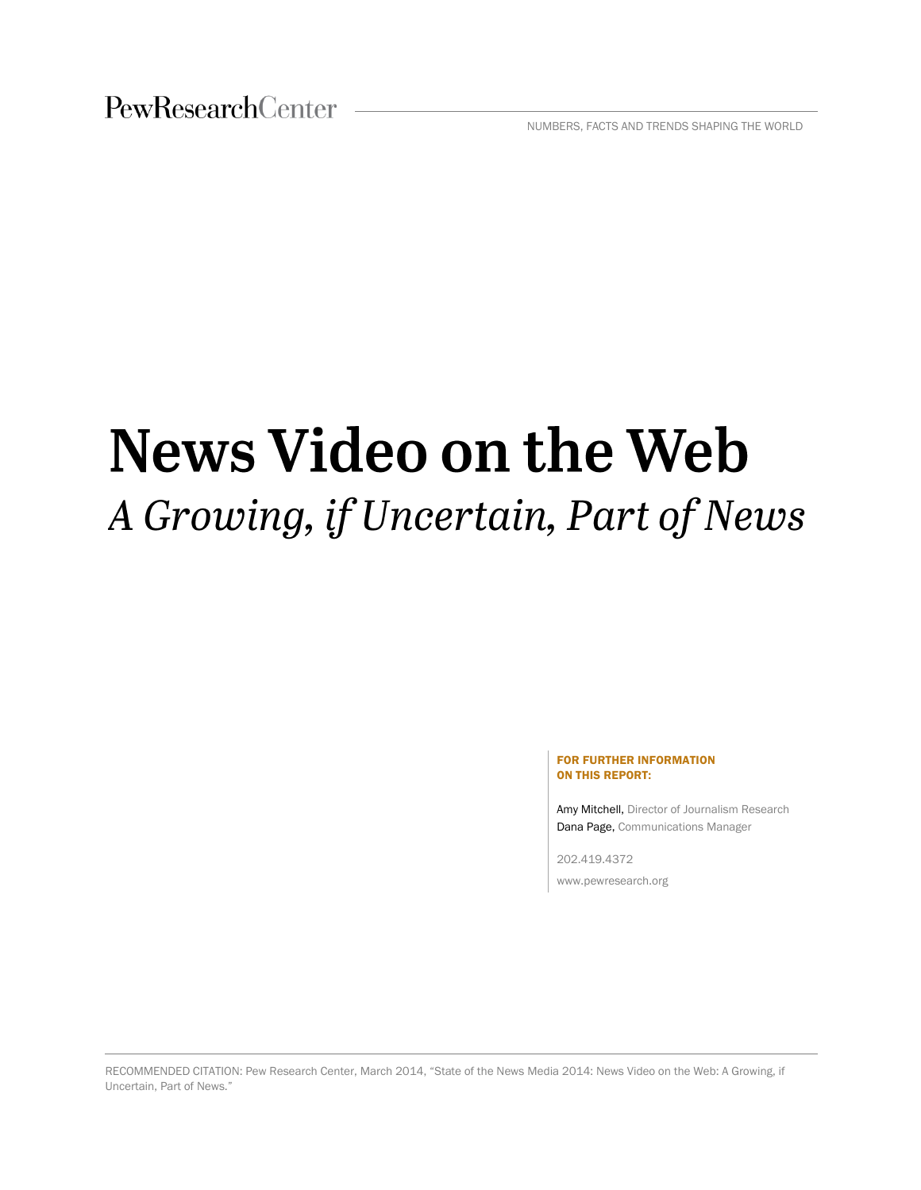NUMBERS, FACTS AND TRENDS SHAPING THE WORLD

# News Video on the Web A Growing, if Uncertain, Part of News

#### FOR FURTHER INFORMATION ON THIS REPORT:

Amy Mitchell, Director of Journalism Research Dana Page, Communications Manager

202.419.4372 www.pewresearch.org

RECOMMENDED CITATION: Pew Research Center, March 2014, "State of the News Media 2014: News Video on the Web: A Growing, if Uncertain, Part of News."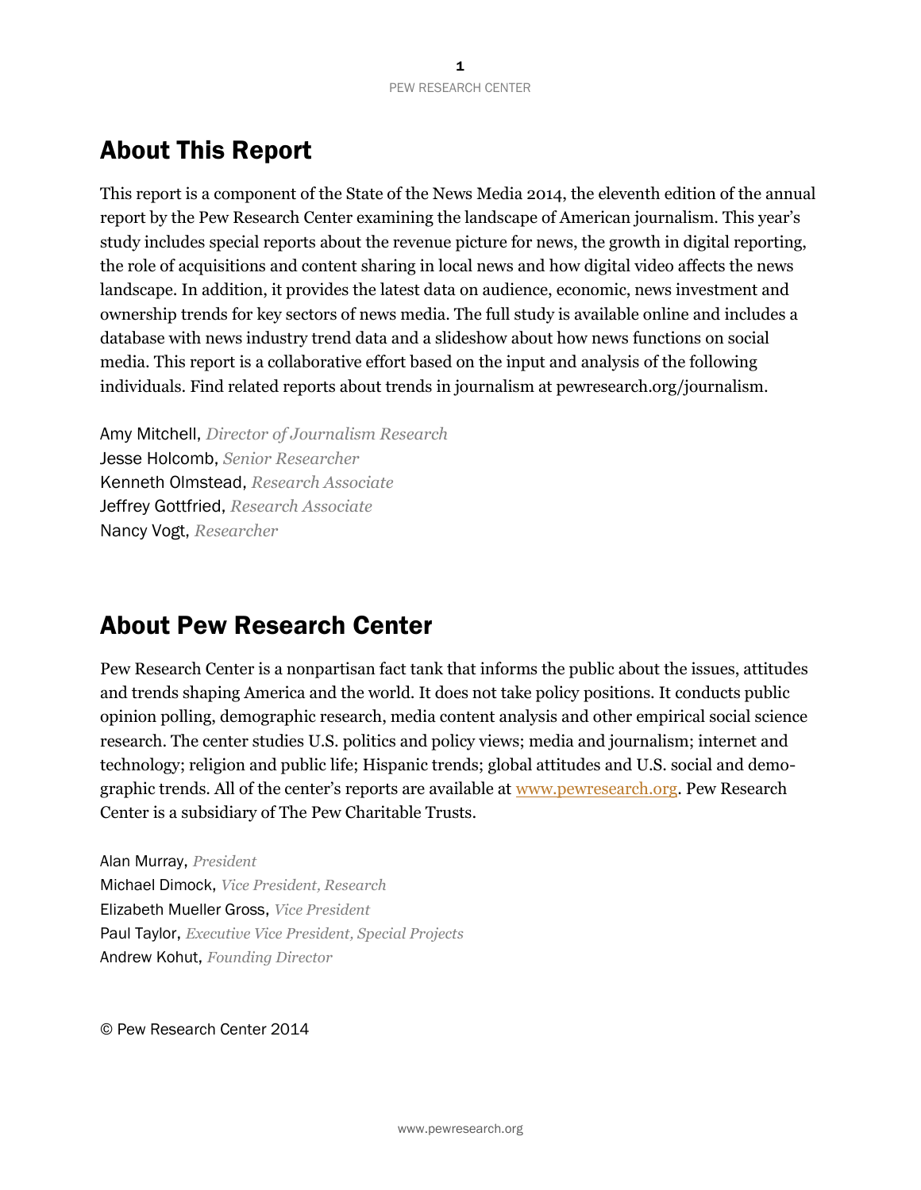# About This Report

This report is a component of the State of the News Media 2014, the eleventh edition of the annual report by the Pew Research Center examining the landscape of American journalism. This year's study includes special reports about the revenue picture for news, the growth in digital reporting, the role of acquisitions and content sharing in local news and how digital video affects the news landscape. In addition, it provides the latest data on audience, economic, news investment and ownership trends for key sectors of news media. The full study is available online and includes a database with news industry trend data and a slideshow about how news functions on social media. This report is a collaborative effort based on the input and analysis of the following individuals. Find related reports about trends in journalism at pewresearch.org/journalism.

Amy Mitchell, *Director of Journalism Research* Jesse Holcomb, *Senior Researcher* Kenneth Olmstead, *Research Associate* Jeffrey Gottfried, *Research Associate* Nancy Vogt, *Researcher*

# About Pew Research Center

Pew Research Center is a nonpartisan fact tank that informs the public about the issues, attitudes and trends shaping America and the world. It does not take policy positions. It conducts public opinion polling, demographic research, media content analysis and other empirical social science research. The center studies U.S. politics and policy views; media and journalism; internet and technology; religion and public life; Hispanic trends; global attitudes and U.S. social and demographic trends. All of the center's reports are available at [www.pewresearch.org.](http://www.pewresearch.org/) Pew Research Center is a subsidiary of The Pew Charitable Trusts.

Alan Murray, *President* Michael Dimock, *Vice President, Research*  Elizabeth Mueller Gross, *Vice President* Paul Taylor, *Executive Vice President, Special Projects* Andrew Kohut, *Founding Director*

© Pew Research Center 2014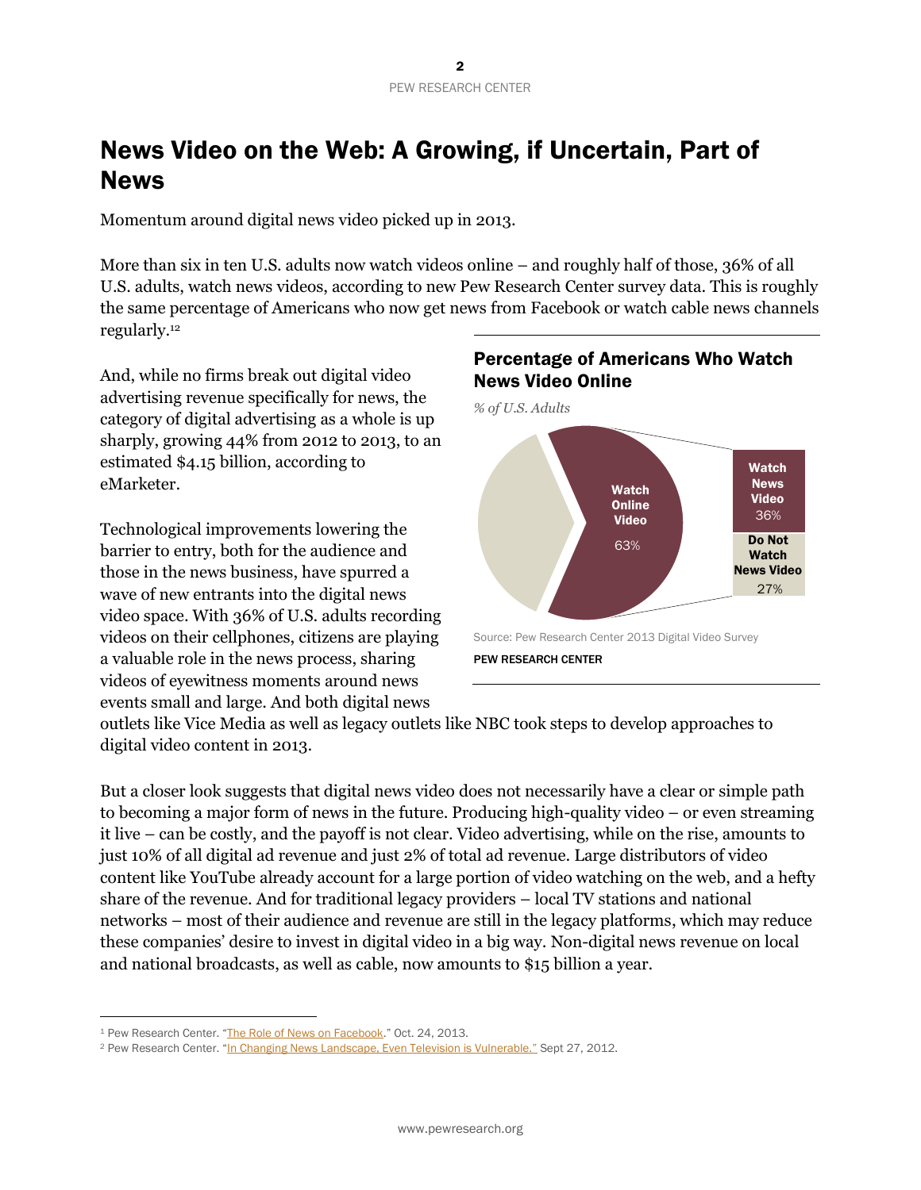# News Video on the Web: A Growing, if Uncertain, Part of News

Momentum around digital news video picked up in 2013.

More than six in ten U.S. adults now watch videos online – and roughly half of those, 36% of all U.S. adults, watch news videos, according to new Pew Research Center survey data. This is roughly the same percentage of Americans who now get news from Facebook or watch cable news channels regularly.<sup>12</sup>

And, while no firms break out digital video advertising revenue specifically for news, the category of digital advertising as a whole is up sharply, growing 44% from 2012 to 2013, to an estimated \$4.15 billion, according to eMarketer.

Technological improvements lowering the barrier to entry, both for the audience and those in the news business, have spurred a wave of new entrants into the digital news video space. With 36% of U.S. adults recording videos on their cellphones, citizens are playing a valuable role in the news process, sharing videos of eyewitness moments around news events small and large. And both digital news



## Percentage of Americans Who Watch News Video Online

outlets like Vice Media as well as legacy outlets like NBC took steps to develop approaches to digital video content in 2013.

But a closer look suggests that digital news video does not necessarily have a clear or simple path to becoming a major form of news in the future. Producing high-quality video – or even streaming it live – can be costly, and the payoff is not clear. Video advertising, while on the rise, amounts to just 10% of all digital ad revenue and just 2% of total ad revenue. Large distributors of video content like YouTube already account for a large portion of video watching on the web, and a hefty share of the revenue. And for traditional legacy providers – local TV stations and national networks – most of their audience and revenue are still in the legacy platforms, which may reduce these companies' desire to invest in digital video in a big way. Non-digital news revenue on local and national broadcasts, as well as cable, now amounts to \$15 billion a year.

<sup>&</sup>lt;sup>1</sup> Pew Research Center. "[The Role of News on Facebook](http://www.journalism.org/2013/10/24/the-role-of-news-on-facebook/)." Oct. 24, 2013.

<sup>&</sup>lt;sup>2</sup> Pew Research Center. ["In Changing News Landscape, Even Television is Vulnerable."](http://www.people-press.org/2012/09/27/in-changing-news-landscape-even-television-is-vulnerable/) Sept 27, 2012.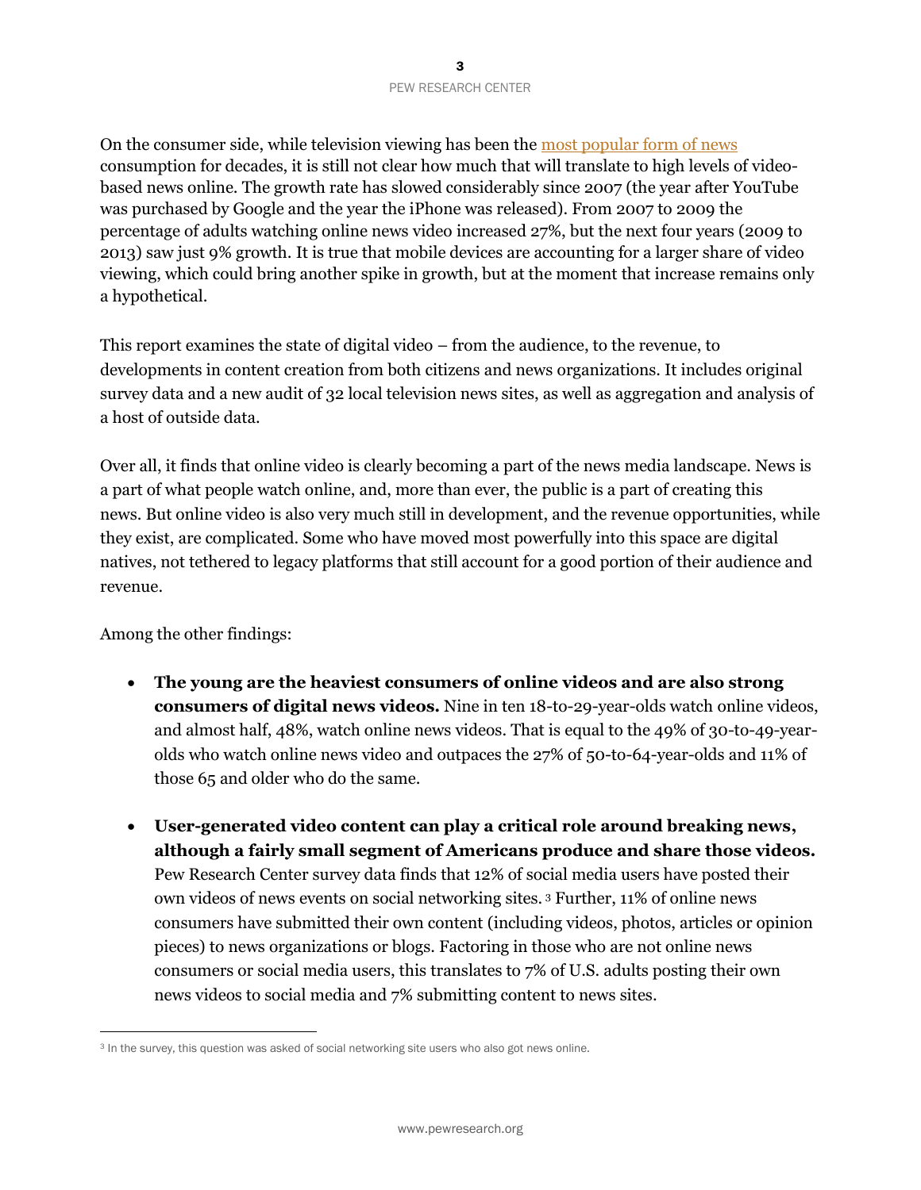On the consumer side, while television viewing has been th[e most popular form of news](http://www.people-press.org/2012/09/27/in-changing-news-landscape-even-television-is-vulnerable/) consumption for decades, it is still not clear how much that will translate to high levels of videobased news online. The growth rate has slowed considerably since 2007 (the year after YouTube was purchased by Google and the year the iPhone was released). From 2007 to 2009 the percentage of adults watching online news video increased 27%, but the next four years (2009 to 2013) saw just 9% growth. It is true that mobile devices are accounting for a larger share of video viewing, which could bring another spike in growth, but at the moment that increase remains only a hypothetical.

This report examines the state of digital video – from the audience, to the revenue, to developments in content creation from both citizens and news organizations. It includes original survey data and a new audit of 32 local television news sites, as well as aggregation and analysis of a host of outside data.

Over all, it finds that online video is clearly becoming a part of the news media landscape. News is a part of what people watch online, and, more than ever, the public is a part of creating this news. But online video is also very much still in development, and the revenue opportunities, while they exist, are complicated. Some who have moved most powerfully into this space are digital natives, not tethered to legacy platforms that still account for a good portion of their audience and revenue.

Among the other findings:

- **The young are the heaviest consumers of online videos and are also strong consumers of digital news videos.** Nine in ten 18-to-29-year-olds watch online videos, and almost half, 48%, watch online news videos. That is equal to the 49% of 30-to-49-yearolds who watch online news video and outpaces the 27% of 50-to-64-year-olds and 11% of those 65 and older who do the same.
- **User-generated video content can play a critical role around breaking news, although a fairly small segment of Americans produce and share those videos.**  Pew Research Center survey data finds that 12% of social media users have posted their own videos of news events on social networking sites. <sup>3</sup> Further, 11% of online news consumers have submitted their own content (including videos, photos, articles or opinion pieces) to news organizations or blogs. Factoring in those who are not online news consumers or social media users, this translates to 7% of U.S. adults posting their own news videos to social media and 7% submitting content to news sites.

<sup>&</sup>lt;sup>3</sup> In the survey, this question was asked of social networking site users who also got news online.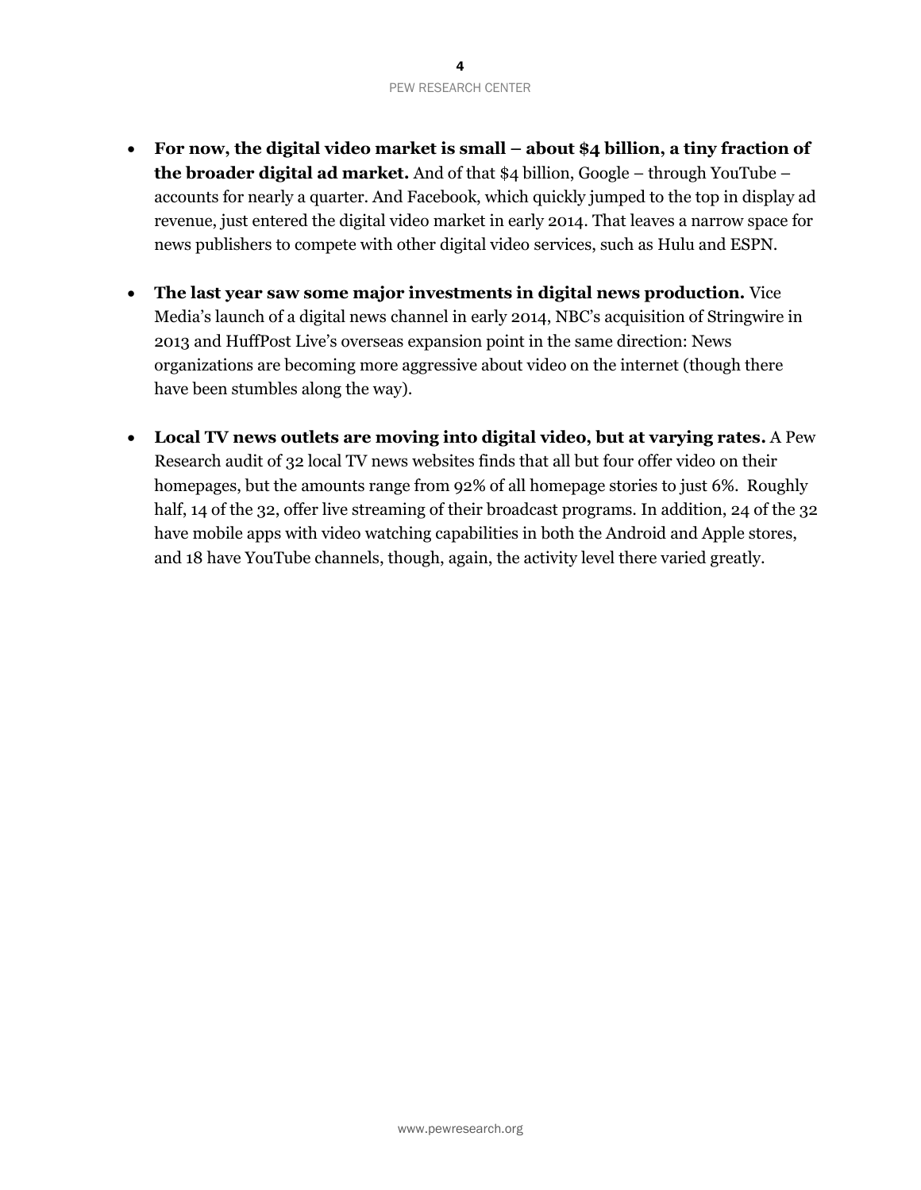- **For now, the digital video market is small – about \$4 billion, a tiny fraction of the broader digital ad market.** And of that \$4 billion, Google – through YouTube – accounts for nearly a quarter. And Facebook, which quickly jumped to the top in display ad revenue, just entered the digital video market in early 2014. That leaves a narrow space for news publishers to compete with other digital video services, such as Hulu and ESPN.
- **The last year saw some major investments in digital news production.** Vice Media's launch of a digital news channel in early 2014, NBC's acquisition of Stringwire in 2013 and HuffPost Live's overseas expansion point in the same direction: News organizations are becoming more aggressive about video on the internet (though there have been stumbles along the way).
- **Local TV news outlets are moving into digital video, but at varying rates.** A Pew Research audit of 32 local TV news websites finds that all but four offer video on their homepages, but the amounts range from 92% of all homepage stories to just 6%. Roughly half, 14 of the 32, offer live streaming of their broadcast programs. In addition, 24 of the 32 have mobile apps with video watching capabilities in both the Android and Apple stores, and 18 have YouTube channels, though, again, the activity level there varied greatly.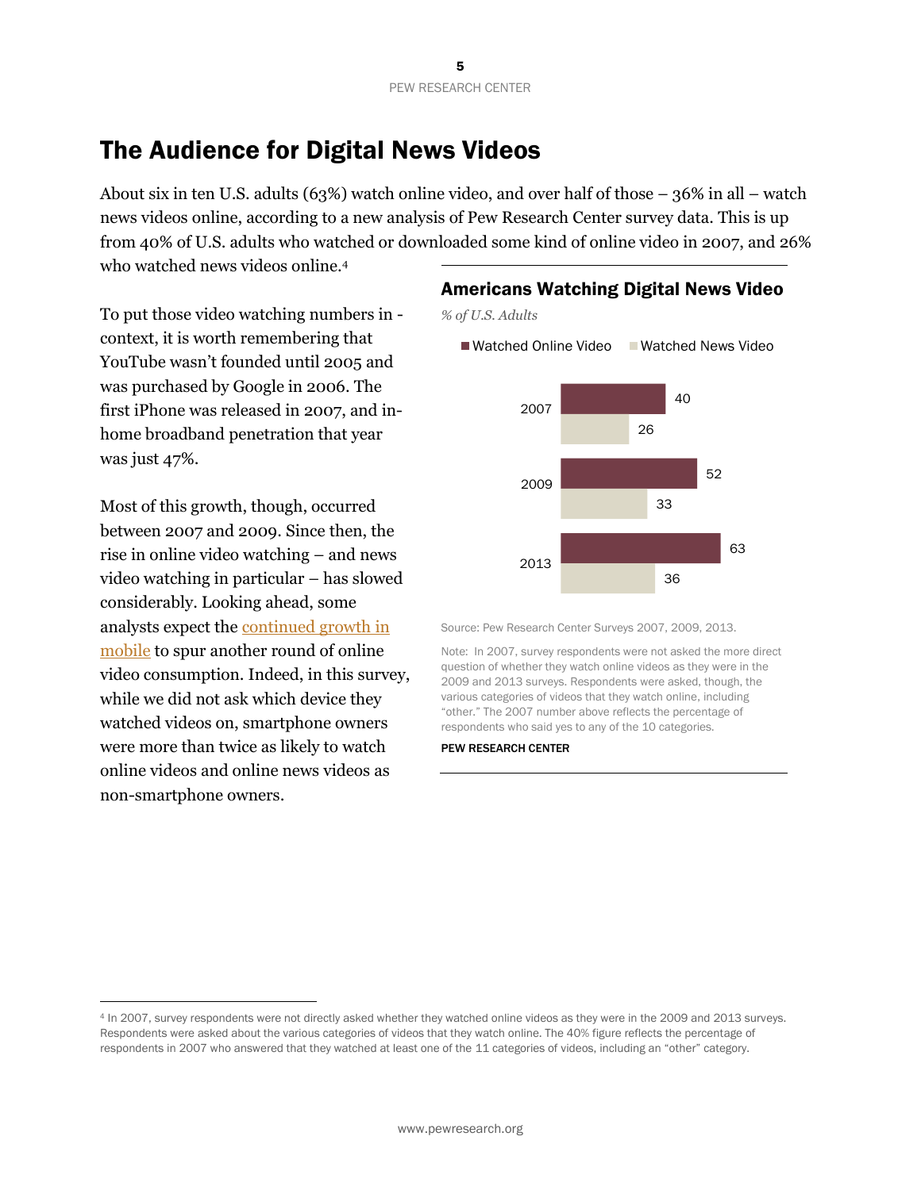# The Audience for Digital News Videos

About six in ten U.S. adults (63%) watch online video, and over half of those – 36% in all – watch news videos online, according to a new analysis of Pew Research Center survey data. This is up from 40% of U.S. adults who watched or downloaded some kind of online video in 2007, and 26% who watched news videos online.<sup>4</sup>

To put those video watching numbers in context, it is worth remembering that YouTube wasn't founded until 2005 and was purchased by Google in 2006. The first iPhone was released in 2007, and inhome broadband penetration that year was just 47%.

Most of this growth, though, occurred between 2007 and 2009. Since then, the rise in online video watching – and news video watching in particular – has slowed considerably. Looking ahead, some analysts expect the [continued growth in](http://tech.fortune.cnn.com/2013/02/20/mobile-will-growth-is-about-to-be-staggering/)  [mobile](http://tech.fortune.cnn.com/2013/02/20/mobile-will-growth-is-about-to-be-staggering/) to spur another round of online video consumption. Indeed, in this survey, while we did not ask which device they watched videos on, smartphone owners were more than twice as likely to watch online videos and online news videos as non-smartphone owners.

 $\overline{a}$ 

#### Americans Watching Digital News Video

*% of U.S. Adults*

 $\blacksquare$  Watched Online Video  $\blacksquare$  Watched News Video



Source: Pew Research Center Surveys 2007, 2009, 2013.

Note: In 2007, survey respondents were not asked the more direct question of whether they watch online videos as they were in the 2009 and 2013 surveys. Respondents were asked, though, the various categories of videos that they watch online, including "other." The 2007 number above reflects the percentage of respondents who said yes to any of the 10 categories.

<sup>4</sup> In 2007, survey respondents were not directly asked whether they watched online videos as they were in the 2009 and 2013 surveys. Respondents were asked about the various categories of videos that they watch online. The 40% figure reflects the percentage of respondents in 2007 who answered that they watched at least one of the 11 categories of videos, including an "other" category.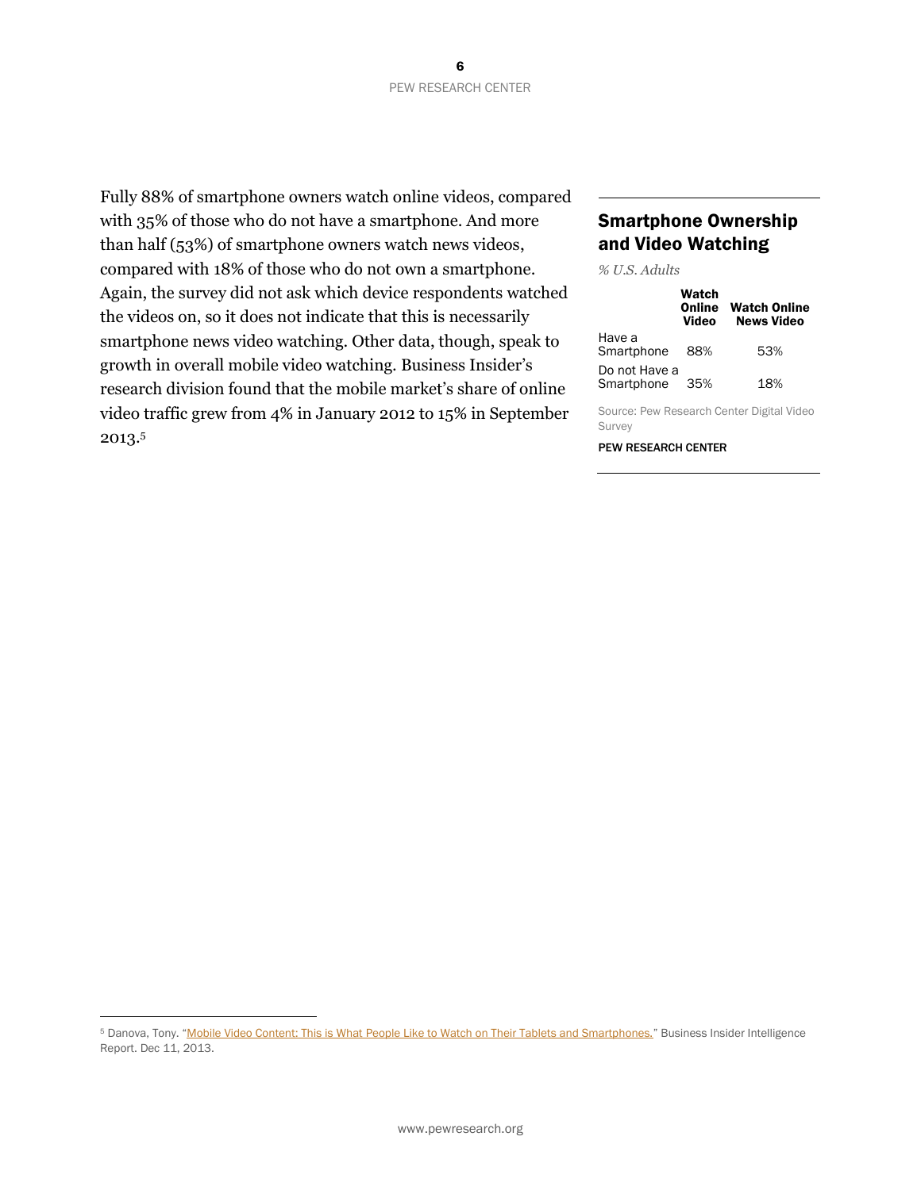Fully 88% of smartphone owners watch online videos, compared with 35% of those who do not have a smartphone. And more than half (53%) of smartphone owners watch news videos, compared with 18% of those who do not own a smartphone. Again, the survey did not ask which device respondents watched the videos on, so it does not indicate that this is necessarily smartphone news video watching. Other data, though, speak to growth in overall mobile video watching. Business Insider's research division found that the mobile market's share of online video traffic grew from 4% in January 2012 to 15% in September 2013.<sup>5</sup>

#### Smartphone Ownership and Video Watching

*% U.S. Adults*

|                             | Watch<br>Online<br>Video | <b>Watch Online</b><br><b>News Video</b> |
|-----------------------------|--------------------------|------------------------------------------|
| Have a<br>Smartphone        | 88%                      | 53%                                      |
| Do not Have a<br>Smartphone | 35%                      | 18%                                      |

Source: Pew Research Center Digital Video Survey

PEW RESEARCH CENTER

<sup>&</sup>lt;sup>5</sup> Danova, Tony. "Mobile Video Content: This is What [People Like to Watch on Their Tablets and Smartphones.](http://www.businessinsider.com/mobile-video-report-2013-12)" Business Insider Intelligence Report. Dec 11, 2013.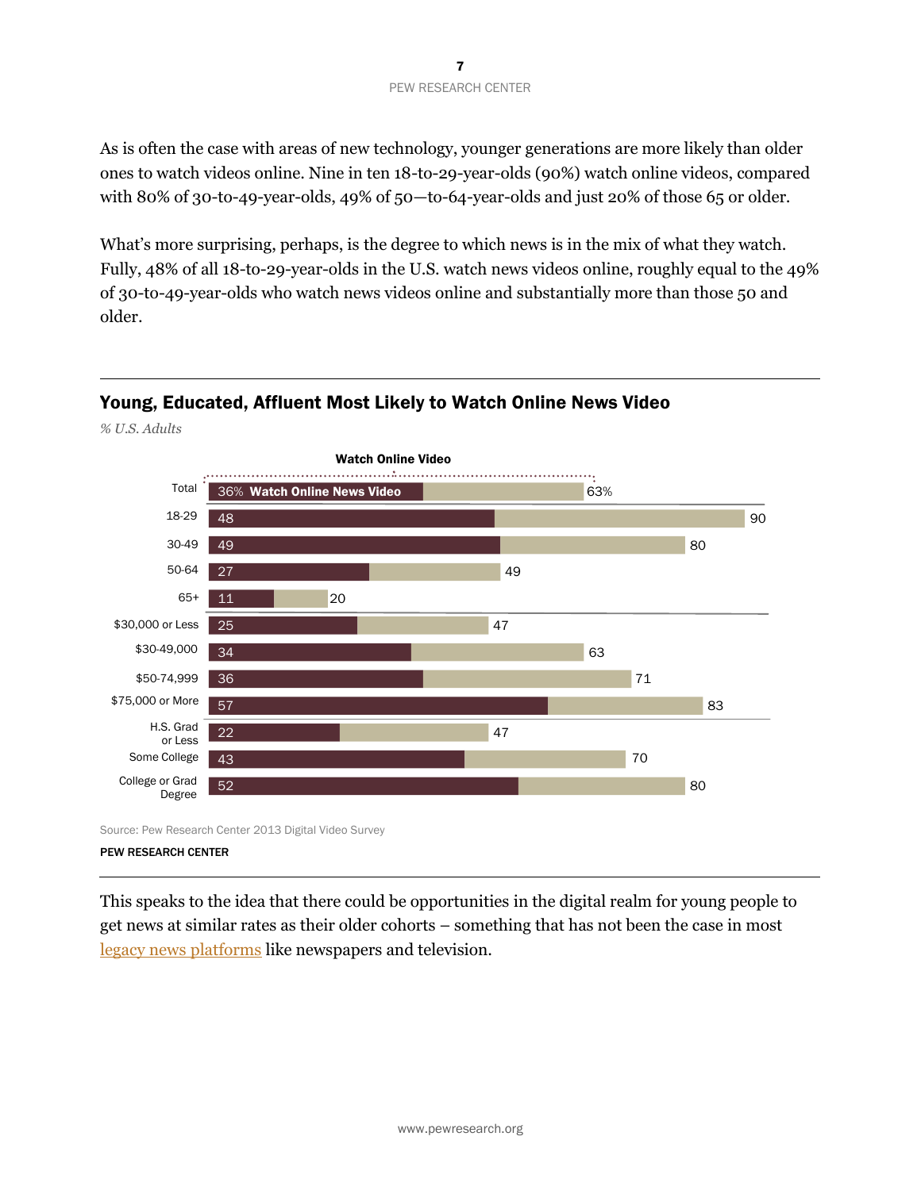As is often the case with areas of new technology, younger generations are more likely than older ones to watch videos online. Nine in ten 18-to-29-year-olds (90%) watch online videos, compared with 80% of 30-to-49-year-olds, 49% of 50—to-64-year-olds and just 20% of those 65 or older.

What's more surprising, perhaps, is the degree to which news is in the mix of what they watch. Fully, 48% of all 18-to-29-year-olds in the U.S. watch news videos online, roughly equal to the 49% of 30-to-49-year-olds who watch news videos online and substantially more than those 50 and older.

## Young, Educated, Affluent Most Likely to Watch Online News Video



#### PEW RESEARCH CENTER

*% U.S. Adults*

This speaks to the idea that there could be opportunities in the digital realm for young people to get news at similar rates as their older cohorts – something that has not been the case in most [legacy news platforms](http://www.people-press.org/2012/09/27/section-1-watching-reading-and-listening-to-the-news-3/) like newspapers and television.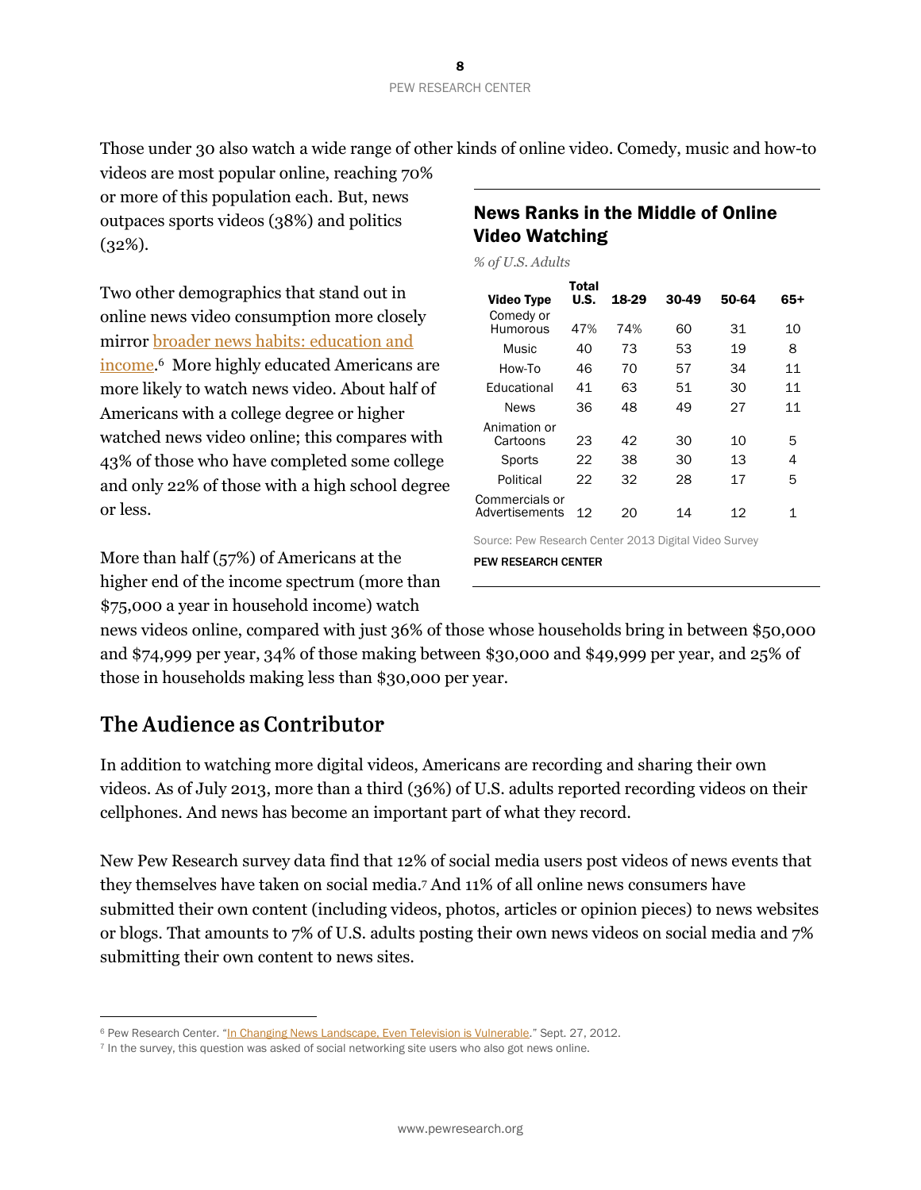Those under 30 also watch a wide range of other kinds of online video. Comedy, music and how-to

videos are most popular online, reaching 70% or more of this population each. But, news outpaces sports videos (38%) and politics (32%).

Two other demographics that stand out in online news video consumption more closely mirro[r broader news habits:](http://www.people-press.org/2012/09/27/section-4-demographics-and-political-views-of-news-audiences/) education and income. 6 More highly educated Americans are more likely to watch news video. About half of Americans with a college degree or higher watched news video online; this compares with 43% of those who have completed some college and only 22% of those with a high school degree or less.

More than half (57%) of Americans at the higher end of the income spectrum (more than \$75,000 a year in household income) watch

| <b>News Ranks in the Middle of Online</b> |
|-------------------------------------------|
| <b>Video Watching</b>                     |

*% of U.S. Adults*

|                                  | Total |       |       |       |       |
|----------------------------------|-------|-------|-------|-------|-------|
| Video Type                       | U.S.  | 18-29 | 30-49 | 50-64 | $65+$ |
| Comedy or<br>Humorous            | 47%   | 74%   | 60    | 31    | 10    |
| Music                            | 40    | 73    | 53    | 19    | 8     |
| How-To                           | 46    | 70    | 57    | 34    | 11    |
| Fducational                      | 41    | 63    | 51    | 30    | 11    |
| <b>News</b>                      | 36    | 48    | 49    | 27    | 11    |
| Animation or<br>Cartoons         | 23    | 42    | 30    | 10    | 5     |
| Sports                           | 22    | 38    | 30    | 13    | 4     |
| Political                        | 22    | 32    | 28    | 17    | 5     |
| Commercials or<br>Advertisements | 12    | 20    | 14    | 12    |       |

Source: Pew Research Center 2013 Digital Video Survey

PEW RESEARCH CENTER

news videos online, compared with just 36% of those whose households bring in between \$50,000 and \$74,999 per year, 34% of those making between \$30,000 and \$49,999 per year, and 25% of those in households making less than \$30,000 per year.

## The Audience as Contributor

 $\overline{a}$ 

In addition to watching more digital videos, Americans are recording and sharing their own videos. As of July 2013, more than a third (36%) of U.S. adults reported recording videos on their cellphones. And news has become an important part of what they record.

New Pew Research survey data find that 12% of social media users post videos of news events that they themselves have taken on social media. <sup>7</sup> And 11% of all online news consumers have submitted their own content (including videos, photos, articles or opinion pieces) to news websites or blogs. That amounts to 7% of U.S. adults posting their own news videos on social media and 7% submitting their own content to news sites.

<sup>&</sup>lt;sup>6</sup> Pew Research Center. "[In Changing News Landscape, Even Television is Vulnerable](http://www.people-press.org/2012/09/27/in-changing-news-landscape-even-television-is-vulnerable/)." Sept. 27, 2012.

<sup>7</sup> In the survey, this question was asked of social networking site users who also got news online.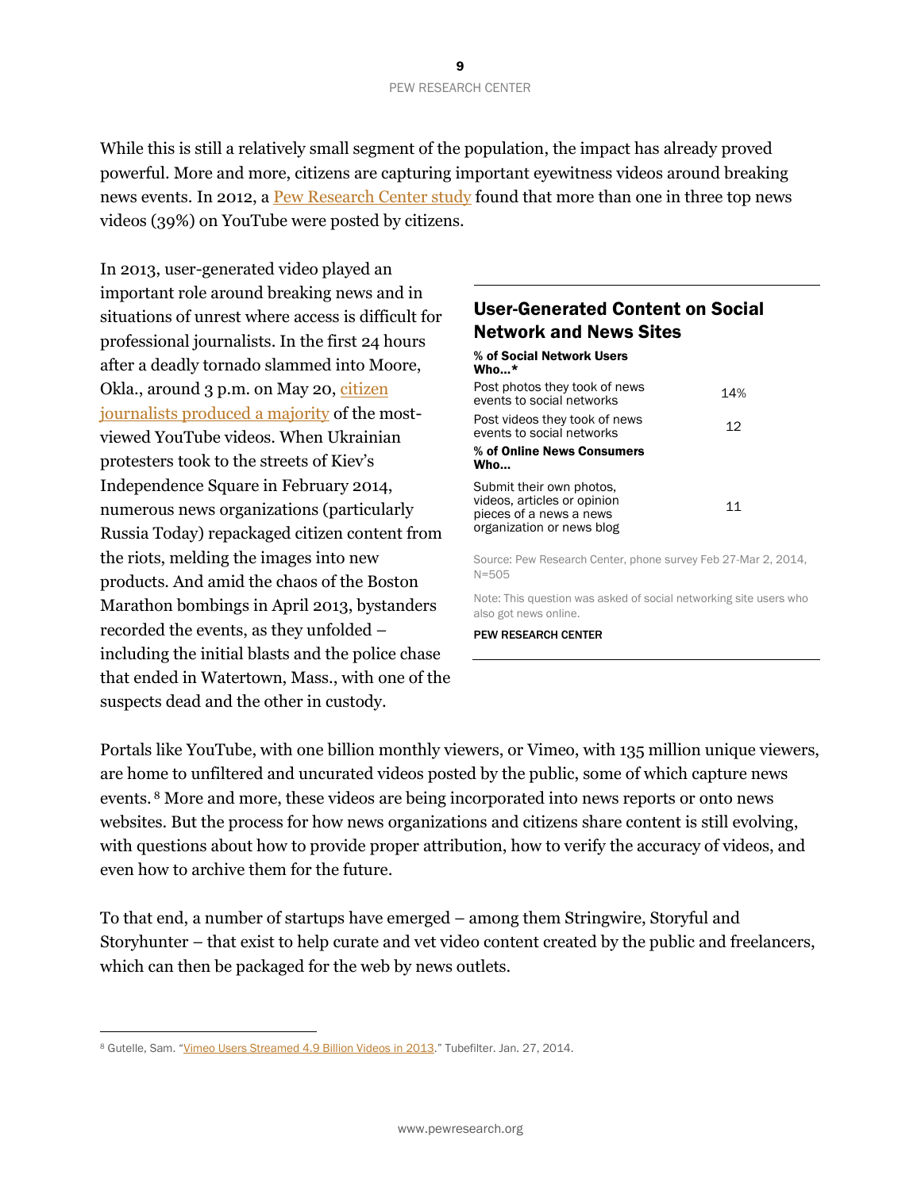While this is still a relatively small segment of the population, the impact has already proved powerful. More and more, citizens are capturing important eyewitness videos around breaking news events. In 2012, [a Pew Research Center study](http://www.journalism.org/2012/07/16/youtube-news/) found that more than one in three top news videos (39%) on YouTube were posted by citizens.

In 2013, user-generated video played an important role around breaking news and in situations of unrest where access is difficult for professional journalists. In the first 24 hours after a deadly tornado slammed into Moore, Okla., around 3 p.m. on May 20, citizen [journalists produced a majority](http://www.pewresearch.org/fact-tank/2013/05/22/citizen-eyewitnesses-provide-majority-of-top-online-news-videos-in-oklahoma-tornado-disaster/) of the mostviewed YouTube videos. When Ukrainian protesters took to the streets of Kiev's Independence Square in February 2014, numerous news organizations (particularly Russia Today) repackaged citizen content from the riots, melding the images into new products. And amid the chaos of the Boston Marathon bombings in April 2013, bystanders recorded the events, as they unfolded – including the initial blasts and the police chase that ended in Watertown, Mass., with one of the suspects dead and the other in custody.

## User-Generated Content on Social Network and News Sites

| % of Social Network Users<br>$W$ ho*                                                                            |     |
|-----------------------------------------------------------------------------------------------------------------|-----|
| Post photos they took of news<br>events to social networks                                                      | 14% |
| Post videos they took of news<br>events to social networks                                                      | 12  |
| % of Online News Consumers<br>Who                                                                               |     |
| Submit their own photos.<br>videos, articles or opinion<br>pieces of a news a news<br>organization or news blog | 11  |

Source: Pew Research Center, phone survey Feb 27-Mar 2, 2014, N=505

Note: This question was asked of social networking site users who also got news online.

PEW RESEARCH CENTER

Portals like YouTube, with one billion monthly viewers, or Vimeo, with 135 million unique viewers, are home to unfiltered and uncurated videos posted by the public, some of which capture news events. <sup>8</sup> More and more, these videos are being incorporated into news reports or onto news websites. But the process for how news organizations and citizens share content is still evolving, with questions about how to provide proper attribution, how to verify the accuracy of videos, and even how to archive them for the future.

To that end, a number of startups have emerged – among them Stringwire, Storyful and Storyhunter – that exist to help curate and vet video content created by the public and freelancers, which can then be packaged for the web by news outlets.

<sup>8</sup> Gutelle, Sam. "[Vimeo Users Streamed 4.9 Billion Videos in 2013](http://www.tubefilter.com/2014/01/27/vimeo-5-billion-views-2013-timeline/)." Tubefilter. Jan. 27, 2014.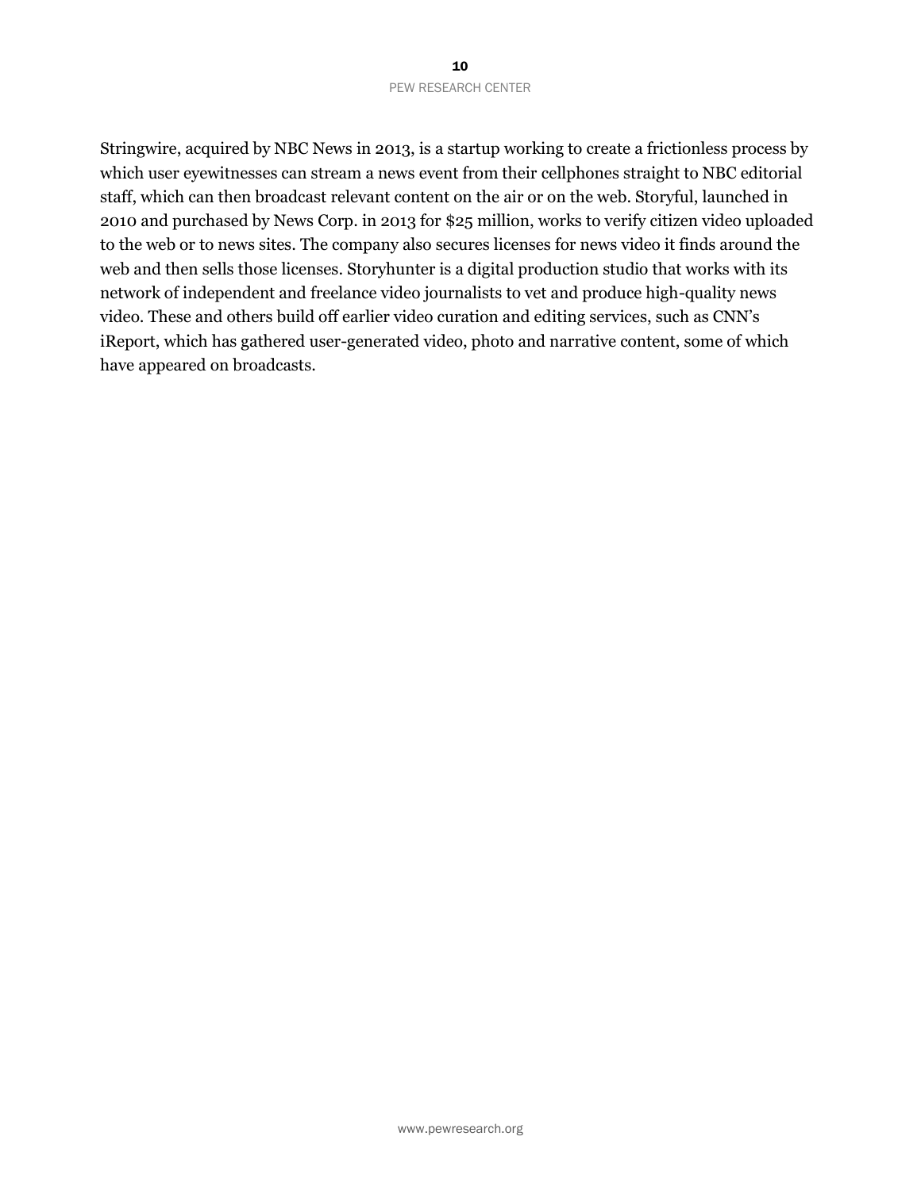#### 10 PEW RESEARCH CENTER

Stringwire, acquired by NBC News in 2013, is a startup working to create a frictionless process by which user eyewitnesses can stream a news event from their cellphones straight to NBC editorial staff, which can then broadcast relevant content on the air or on the web. Storyful, launched in 2010 and purchased by News Corp. in 2013 for \$25 million, works to verify citizen video uploaded to the web or to news sites. The company also secures licenses for news video it finds around the web and then sells those licenses. Storyhunter is a digital production studio that works with its network of independent and freelance video journalists to vet and produce high-quality news video. These and others build off earlier video curation and editing services, such as CNN's iReport, which has gathered user-generated video, photo and narrative content, some of which have appeared on broadcasts.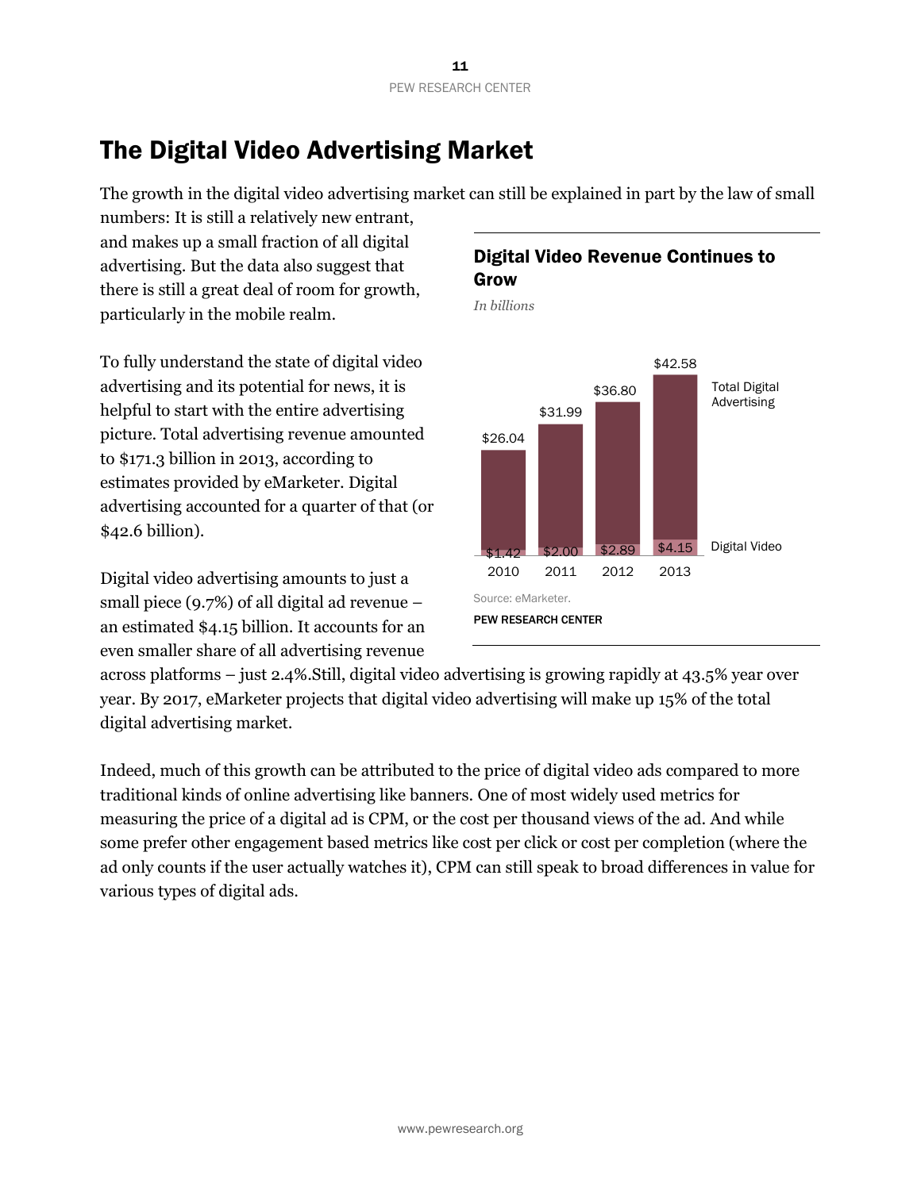# The Digital Video Advertising Market

The growth in the digital video advertising market can still be explained in part by the law of small

numbers: It is still a relatively new entrant, and makes up a small fraction of all digital advertising. But the data also suggest that there is still a great deal of room for growth, particularly in the mobile realm.

To fully understand the state of digital video advertising and its potential for news, it is helpful to start with the entire advertising picture. Total advertising revenue amounted to \$171.3 billion in 2013, according to estimates provided by eMarketer. Digital advertising accounted for a quarter of that (or \$42.6 billion).

Digital video advertising amounts to just a small piece (9.7%) of all digital ad revenue – an estimated \$4.15 billion. It accounts for an even smaller share of all advertising revenue

## Digital Video Revenue Continues to Grow

*In billions*



across platforms – just 2.4%.Still, digital video advertising is growing rapidly at 43.5% year over year. By 2017, eMarketer projects that digital video advertising will make up 15% of the total digital advertising market.

Indeed, much of this growth can be attributed to the price of digital video ads compared to more traditional kinds of online advertising like banners. One of most widely used metrics for measuring the price of a digital ad is CPM, or the cost per thousand views of the ad. And while some prefer other engagement based metrics like cost per click or cost per completion (where the ad only counts if the user actually watches it), CPM can still speak to broad differences in value for various types of digital ads.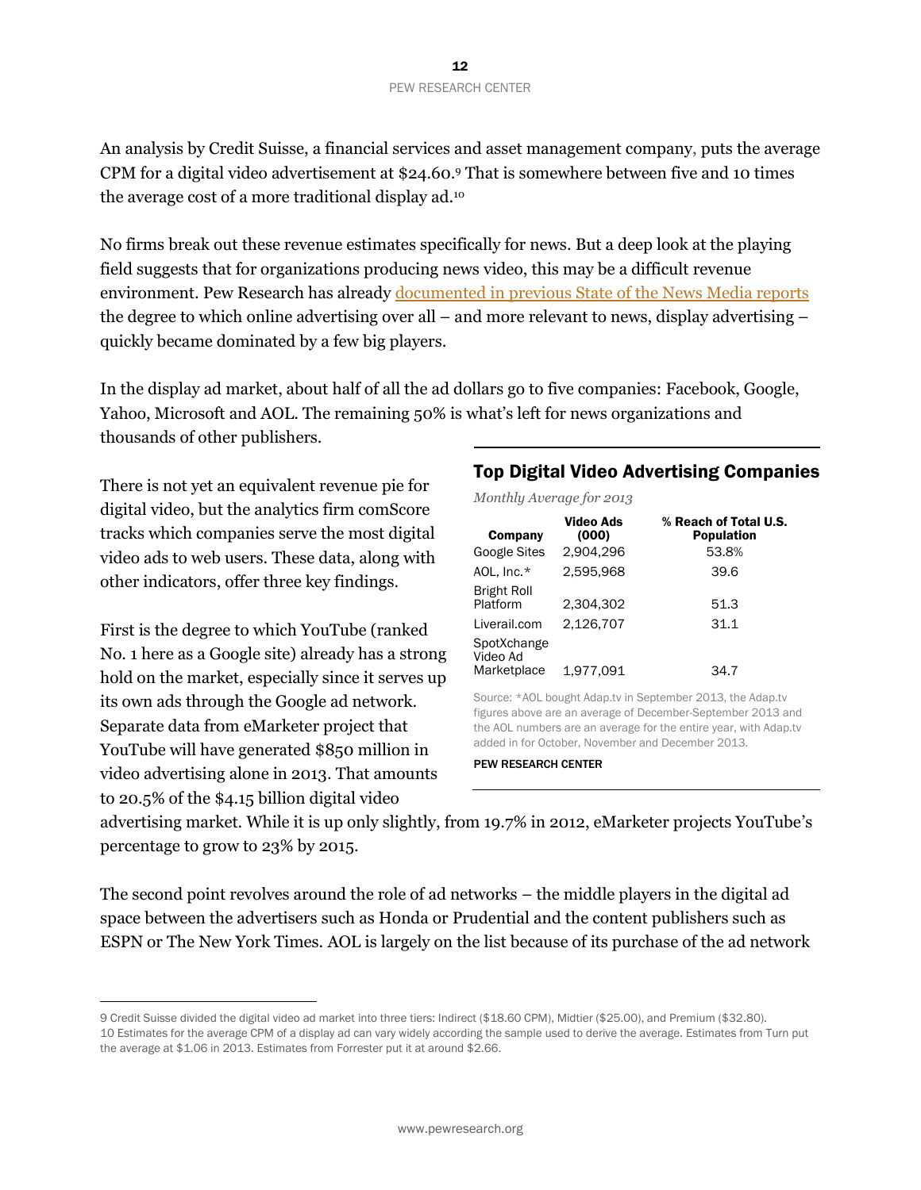An analysis by Credit Suisse, a financial services and asset management company, puts the average CPM for a digital video advertisement at \$24.60. <sup>9</sup> That is somewhere between five and 10 times the average cost of a more traditional display ad.<sup>10</sup>

No firms break out these revenue estimates specifically for news. But a deep look at the playing field suggests that for organizations producing news video, this may be a difficult revenue environment. Pew Research has already documented in previous [State of the News Media reports](http://stateofthemedia.org/2013/digital-as-mobile-grows-rapidly-the-pressures-on-news-intensify/#the-digital-advertising-market) the degree to which online advertising over all – and more relevant to news, display advertising – quickly became dominated by a few big players.

In the display ad market, about half of all the ad dollars go to five companies: Facebook, Google, Yahoo, Microsoft and AOL. The remaining 50% is what's left for news organizations and thousands of other publishers.

There is not yet an equivalent revenue pie for digital video, but the analytics firm comScore tracks which companies serve the most digital video ads to web users. These data, along with other indicators, offer three key findings.

First is the degree to which YouTube (ranked No. 1 here as a Google site) already has a strong hold on the market, especially since it serves up its own ads through the Google ad network. Separate data from eMarketer project that YouTube will have generated \$850 million in video advertising alone in 2013. That amounts to 20.5% of the \$4.15 billion digital video

 $\overline{a}$ 

## Top Digital Video Advertising Companies

*Monthly Average for 2013*

| Company                                | Video Ads<br>(000) | % Reach of Total U.S.<br><b>Population</b> |
|----------------------------------------|--------------------|--------------------------------------------|
| <b>Google Sites</b>                    | 2,904,296          | 53.8%                                      |
| AOL, Inc.*                             | 2.595.968          | 39.6                                       |
| <b>Bright Roll</b><br>Platform         | 2.304.302          | 51.3                                       |
| Liverail.com                           | 2.126.707          | 31.1                                       |
| SpotXchange<br>Video Ad<br>Marketplace | 1,977,091          | 34.7                                       |

Source: \*AOL bought Adap.tv in September 2013, the Adap.tv figures above are an average of December-September 2013 and the AOL numbers are an average for the entire year, with Adap.tv added in for October, November and December 2013.

PEW RESEARCH CENTER

advertising market. While it is up only slightly, from 19.7% in 2012, eMarketer projects YouTube's percentage to grow to 23% by 2015.

The second point revolves around the role of ad networks – the middle players in the digital ad space between the advertisers such as Honda or Prudential and the content publishers such as ESPN or The New York Times. AOL is largely on the list because of its purchase of the ad network

<sup>9</sup> Credit Suisse divided the digital video ad market into three tiers: Indirect (\$18.60 CPM), Midtier (\$25.00), and Premium (\$32.80). 10 Estimates for the average CPM of a display ad can vary widely according the sample used to derive the average. Estimates from Turn put the average at \$1.06 in 2013. Estimates from Forrester put it at around \$2.66.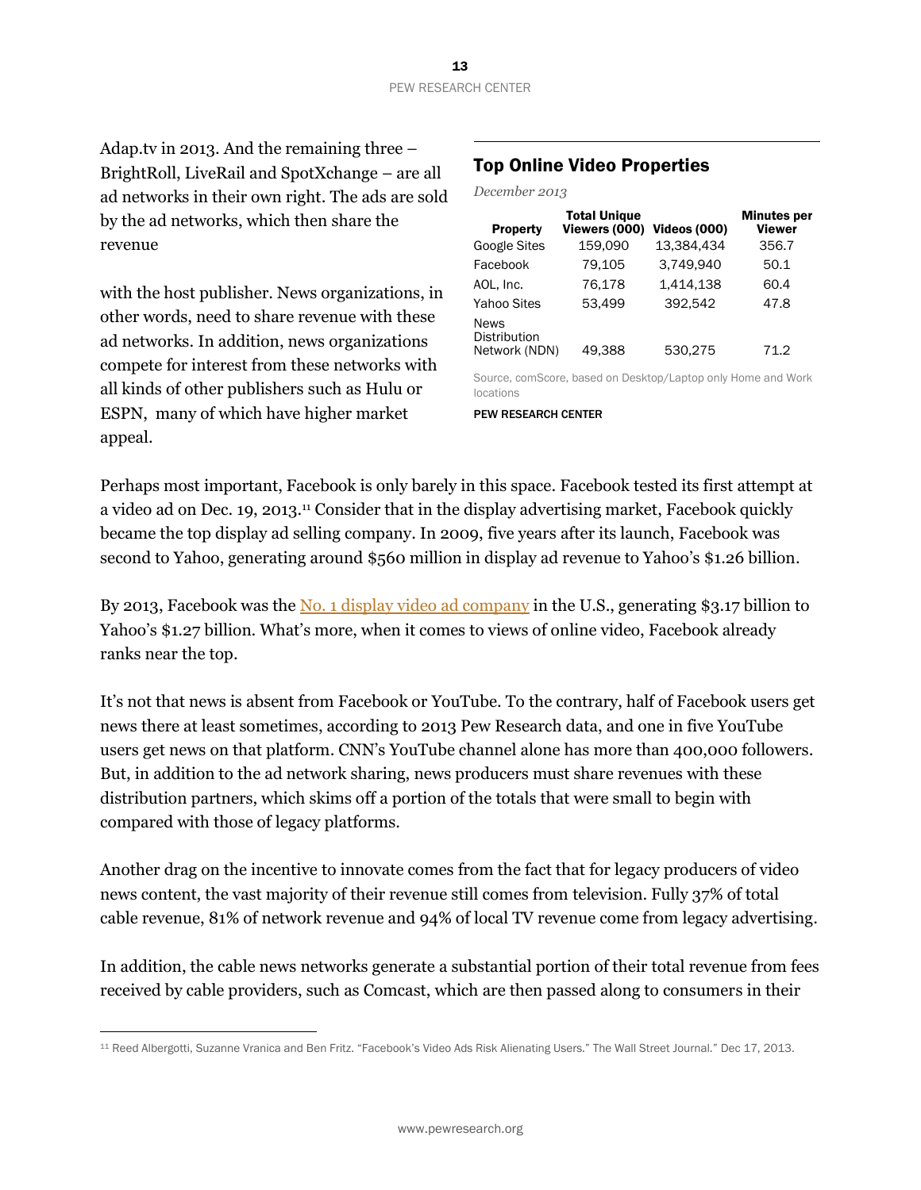Adap.tv in 2013. And the remaining three – BrightRoll, LiveRail and SpotXchange – are all ad networks in their own right. The ads are sold by the ad networks, which then share the revenue

with the host publisher. News organizations, in other words, need to share revenue with these ad networks. In addition, news organizations compete for interest from these networks with all kinds of other publishers such as Hulu or ESPN, many of which have higher market appeal.

 $\overline{a}$ 

## Top Online Video Properties

*December 2013*

| <b>Property</b>                                     | <b>Total Unique</b><br>Viewers (000) | <b>Videos (000)</b> | <b>Minutes per</b><br><b>Viewer</b> |
|-----------------------------------------------------|--------------------------------------|---------------------|-------------------------------------|
| <b>Google Sites</b>                                 | 159,090                              | 13.384.434          | 356.7                               |
| Facebook                                            | 79.105                               | 3.749.940           | 50.1                                |
| AOL, Inc.                                           | 76.178                               | 1.414.138           | 60.4                                |
| <b>Yahoo Sites</b>                                  | 53.499                               | 392.542             | 47.8                                |
| <b>News</b><br><b>Distribution</b><br>Network (NDN) | 49.388                               | 530,275             | 71.2                                |

Source, comScore, based on Desktop/Laptop only Home and Work locations

PEW RESEARCH CENTER

Perhaps most important, Facebook is only barely in this space. Facebook tested its first attempt at a video ad on Dec. 19, 2013.<sup>11</sup> Consider that in the display advertising market, Facebook quickly became the top display ad selling company. In 2009, five years after its launch, Facebook was second to Yahoo, generating around \$560 million in display ad revenue to Yahoo's \$1.26 billion.

By 2013, Facebook was the No. 1 [display video ad company](http://stateofthemedia.org/2013/digital-as-mobile-grows-rapidly-the-pressures-on-news-intensify/#digital-economics-an-intensifying-array-of-challenges) in the U.S., generating \$3.17 billion to Yahoo's \$1.27 billion. What's more, when it comes to views of online video, Facebook already ranks near the top.

It's not that news is absent from Facebook or YouTube. To the contrary, half of Facebook users get news there at least sometimes, according to 2013 Pew Research data, and one in five YouTube users get news on that platform. CNN's YouTube channel alone has more than 400,000 followers. But, in addition to the ad network sharing, news producers must share revenues with these distribution partners, which skims off a portion of the totals that were small to begin with compared with those of legacy platforms.

Another drag on the incentive to innovate comes from the fact that for legacy producers of video news content, the vast majority of their revenue still comes from television. Fully 37% of total cable revenue, 81% of network revenue and 94% of local TV revenue come from legacy advertising.

In addition, the cable news networks generate a substantial portion of their total revenue from fees received by cable providers, such as Comcast, which are then passed along to consumers in their

<sup>11</sup> Reed Albergotti, Suzanne Vranica and Ben Fritz. "Facebook's Video Ads Risk Alienating Users." The Wall Street Journal." Dec 17, 2013.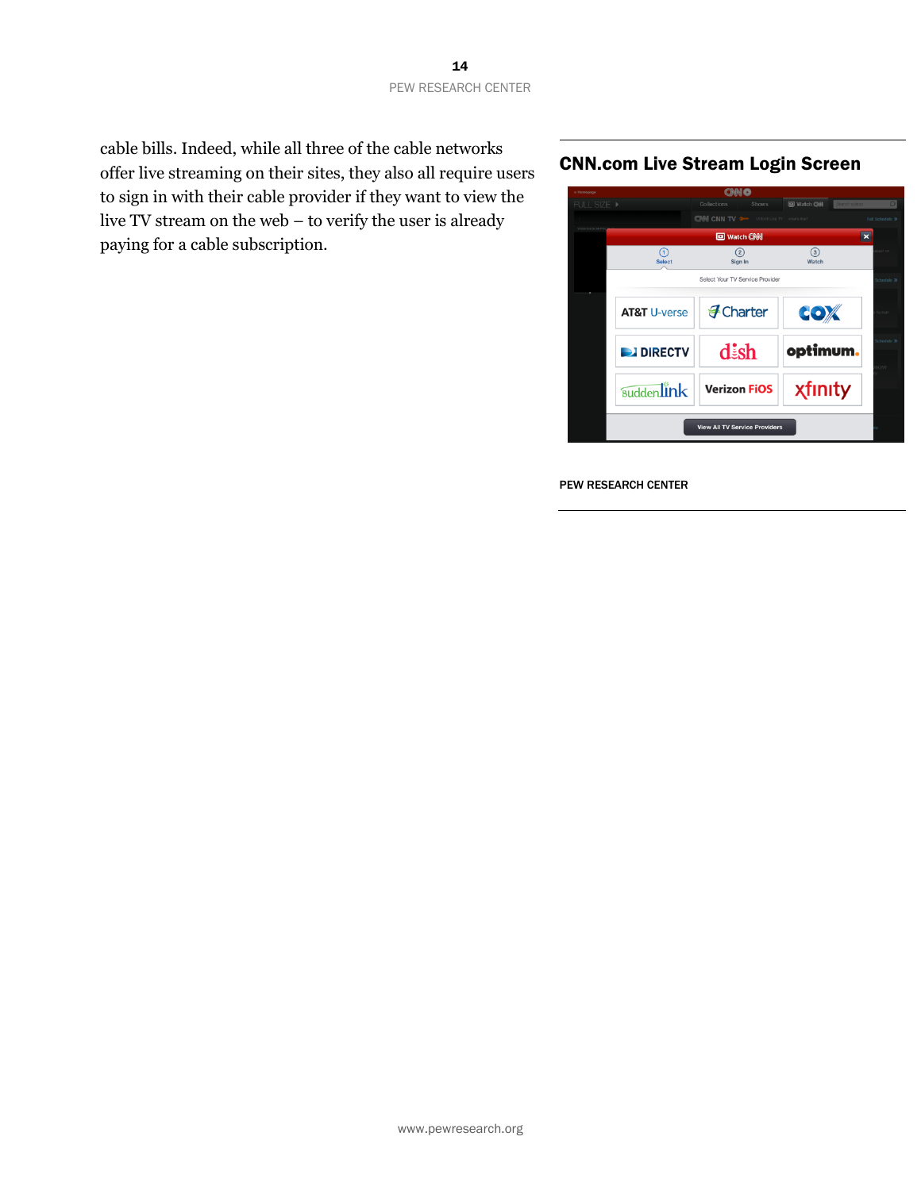cable bills. Indeed, while all three of the cable networks offer live streaming on their sites, they also all require users to sign in with their cable provider if they want to view the live TV stream on the web – to verify the user is already paying for a cable subscription.

#### CNN.com Live Stream Login Screen

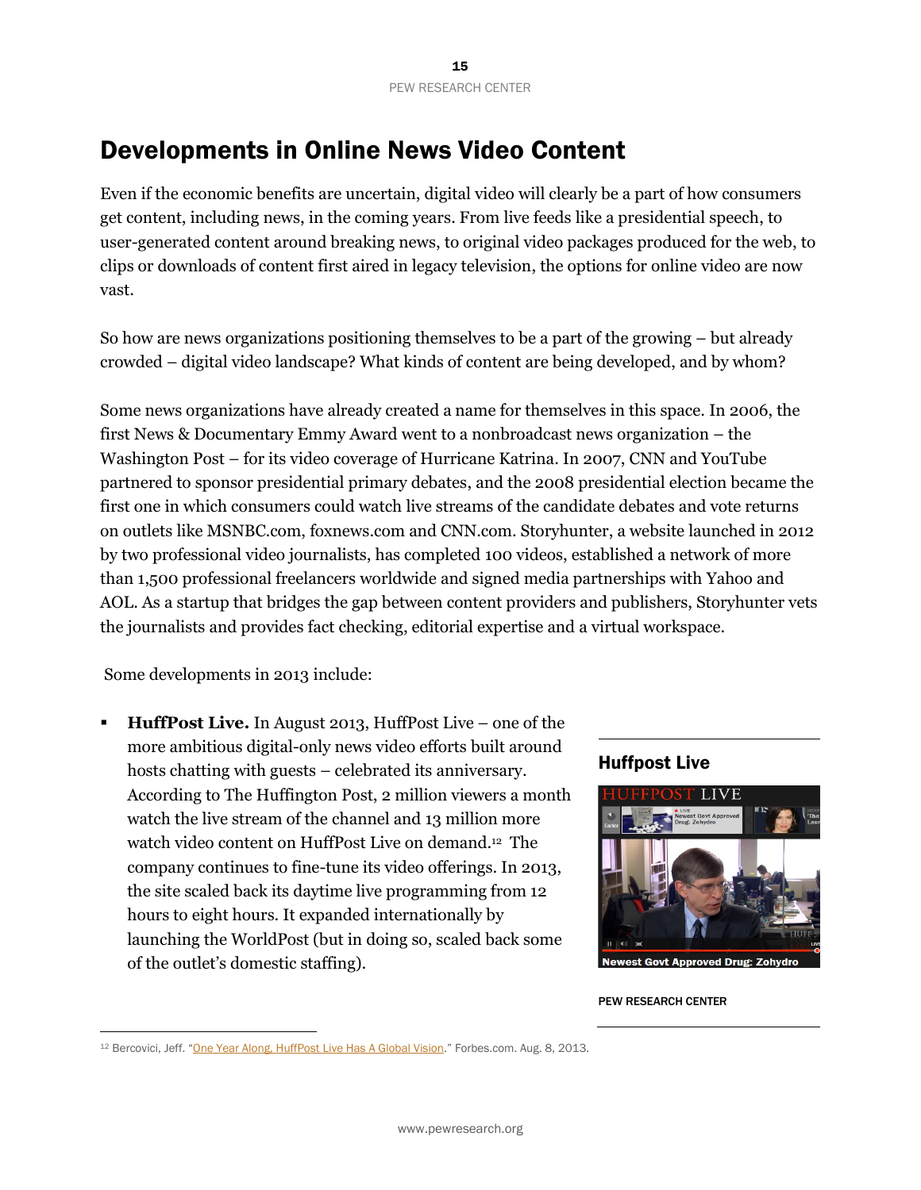# Developments in Online News Video Content

Even if the economic benefits are uncertain, digital video will clearly be a part of how consumers get content, including news, in the coming years. From live feeds like a presidential speech, to user-generated content around breaking news, to original video packages produced for the web, to clips or downloads of content first aired in legacy television, the options for online video are now vast.

So how are news organizations positioning themselves to be a part of the growing – but already crowded – digital video landscape? What kinds of content are being developed, and by whom?

Some news organizations have already created a name for themselves in this space. In 2006, the first News & Documentary Emmy Award went to a nonbroadcast news organization – the Washington Post – for its video coverage of Hurricane Katrina. In 2007, CNN and YouTube partnered to sponsor presidential primary debates, and the 2008 presidential election became the first one in which consumers could watch live streams of the candidate debates and vote returns on outlets like MSNBC.com, foxnews.com and CNN.com. Storyhunter, a website launched in 2012 by two professional video journalists, has completed 100 videos, established a network of more than 1,500 professional freelancers worldwide and signed media partnerships with Yahoo and AOL. As a startup that bridges the gap between content providers and publishers, Storyhunter vets the journalists and provides fact checking, editorial expertise and a virtual workspace.

Some developments in 2013 include:

 $\overline{a}$ 

 **HuffPost Live.** In August 2013, HuffPost Live – one of the more ambitious digital-only news video efforts built around hosts chatting with guests – celebrated its anniversary. According to The Huffington Post, 2 million viewers a month watch the live stream of the channel and 13 million more watch video content on HuffPost Live on demand.<sup>12</sup> The company continues to fine-tune its video offerings. In 2013, the site scaled back its daytime live programming from 12 hours to eight hours. It expanded internationally by launching the WorldPost (but in doing so, scaled back some of the outlet's domestic staffing).



<sup>&</sup>lt;sup>12</sup> Bercovici, Jeff. "[One Year Along, HuffPost Live Has A Global Vision](http://www.forbes.com/sites/jeffbercovici/2013/08/30/one-year-along-huffpost-live-has-a-global-vision/)." Forbes.com. Aug. 8, 2013.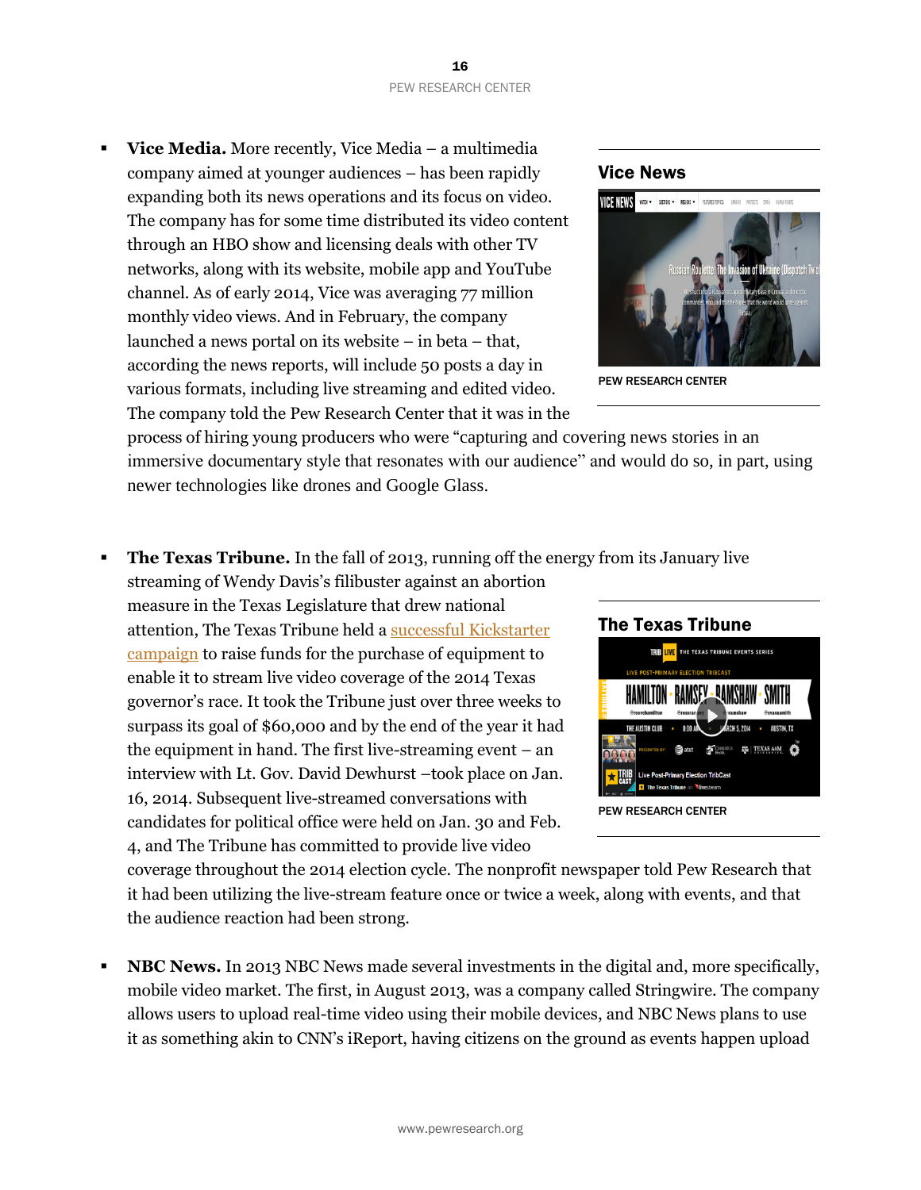**Vice Media.** More recently, Vice Media – a multimedia company aimed at younger audiences – has been rapidly expanding both its news operations and its focus on video. The company has for some time distributed its video content through an HBO show and licensing deals with other TV networks, along with its website, mobile app and YouTube channel. As of early 2014, Vice was averaging 77 million monthly video views. And in February, the company launched a news portal on its website – in beta – that, according the news reports, will include 50 posts a day in various formats, including live streaming and edited video. The company told the Pew Research Center that it was in the

process of hiring young producers who were "capturing and covering news stories in an immersive documentary style that resonates with our audience" and would do so, in part, using newer technologies like drones and Google Glass.

**The Texas Tribune.** In the fall of 2013, running off the energy from its January live

streaming of Wendy Davis's filibuster against an abortion measure in the Texas Legislature that drew national attention, The Texas Tribune held a [successful Kickstarter](http://www.pbs.org/idealab/2013/11/key-lessons-from-texas-tribunes-successful-kickstarter-campaign/)  [campaign](http://www.pbs.org/idealab/2013/11/key-lessons-from-texas-tribunes-successful-kickstarter-campaign/) to raise funds for the purchase of equipment to enable it to stream live video coverage of the 2014 Texas governor's race. It took the Tribune just over three weeks to surpass its goal of \$60,000 and by the end of the year it had the equipment in hand. The first live-streaming event – an interview with Lt. Gov. David Dewhurst –took place on Jan. 16, 2014. Subsequent live-streamed conversations with candidates for political office were held on Jan. 30 and Feb. 4, and The Tribune has committed to provide live video

coverage throughout the 2014 election cycle. The nonprofit newspaper told Pew Research that it had been utilizing the live-stream feature once or twice a week, along with events, and that the audience reaction had been strong.

**NBC News.** In 2013 NBC News made several investments in the digital and, more specifically, mobile video market. The first, in August 2013, was a company called Stringwire. The company allows users to upload real-time video using their mobile devices, and NBC News plans to use it as something akin to CNN's iReport, having citizens on the ground as events happen upload





PEW RESEARCH CENTER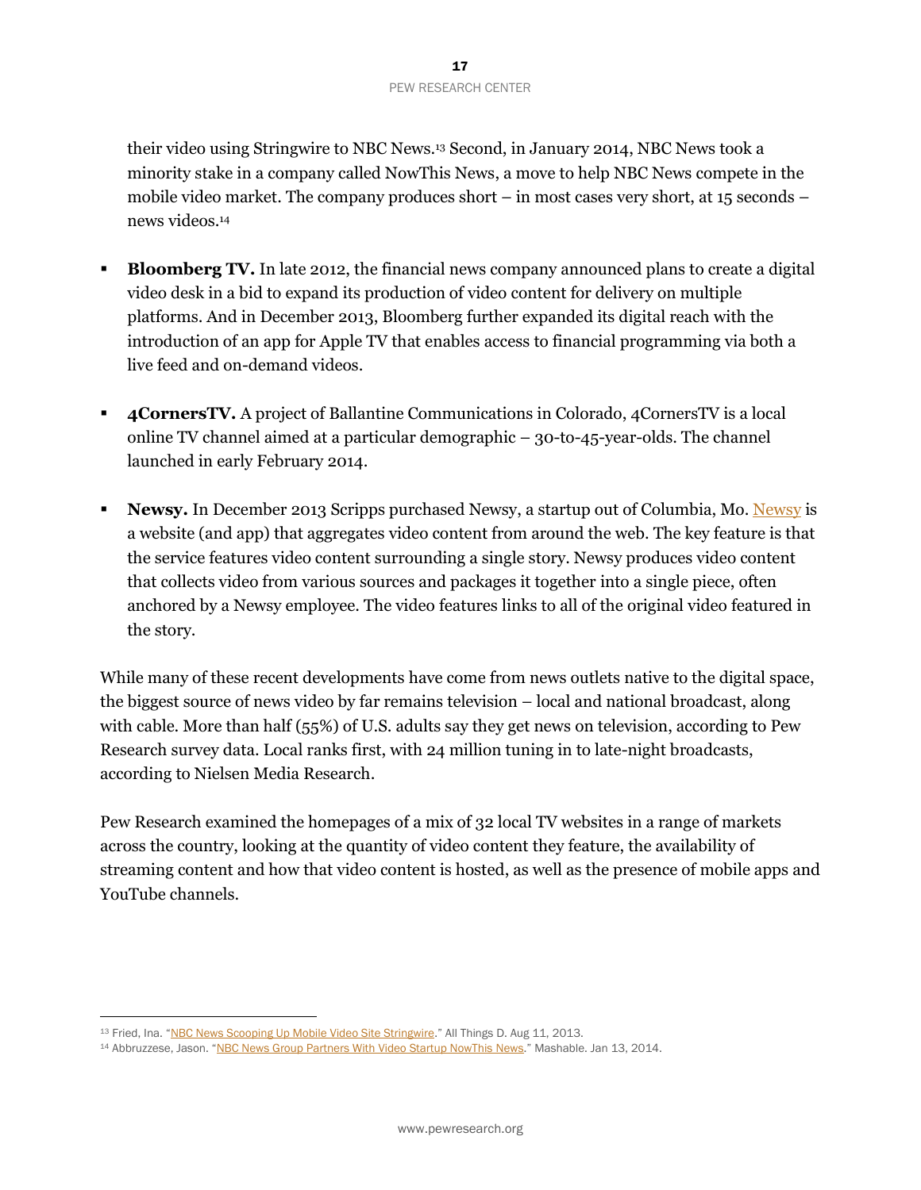their video using Stringwire to NBC News.<sup>13</sup> Second, in January 2014, NBC News took a minority stake in a company called NowThis News, a move to help NBC News compete in the mobile video market. The company produces short – in most cases very short, at 15 seconds – news videos. 14

- **Bloomberg TV.** In late 2012, the financial news company announced plans to create a digital video desk in a bid to expand its production of video content for delivery on multiple platforms. And in December 2013, Bloomberg further expanded its digital reach with the introduction of an app for Apple TV that enables access to financial programming via both a live feed and on-demand videos.
- **4CornersTV.** A project of Ballantine Communications in Colorado, 4CornersTV is a local online TV channel aimed at a particular demographic – 30-to-45-year-olds. The channel launched in early February 2014.
- **[Newsy](http://www.newsy.com/).** In December 2013 Scripps purchased Newsy, a startup out of Columbia, Mo. Newsy is a website (and app) that aggregates video content from around the web. The key feature is that the service features video content surrounding a single story. Newsy produces video content that collects video from various sources and packages it together into a single piece, often anchored by a Newsy employee. The video features links to all of the original video featured in the story.

While many of these recent developments have come from news outlets native to the digital space, the biggest source of news video by far remains television – local and national broadcast, along with cable. More than half (55%) of U.S. adults say they get news on television, according to Pew Research survey data. Local ranks first, with 24 million tuning in to late-night broadcasts, according to Nielsen Media Research.

Pew Research examined the homepages of a mix of 32 local TV websites in a range of markets across the country, looking at the quantity of video content they feature, the availability of streaming content and how that video content is hosted, as well as the presence of mobile apps and YouTube channels.

<sup>13</sup> Fried, Ina. "[NBC News Scooping Up Mobile Video Site Stringwire](http://allthingsd.com/20130811/nbc-news-scooping-up-mobile-video-site-stringwire/)." All Things D. Aug 11, 2013.

<sup>14</sup> Abbruzzese, Jason. "NBC [News Group Partners With Video Startup NowThis](http://mashable.com/2014/01/13/nowthis-news-nbc/) News." Mashable. Jan 13, 2014.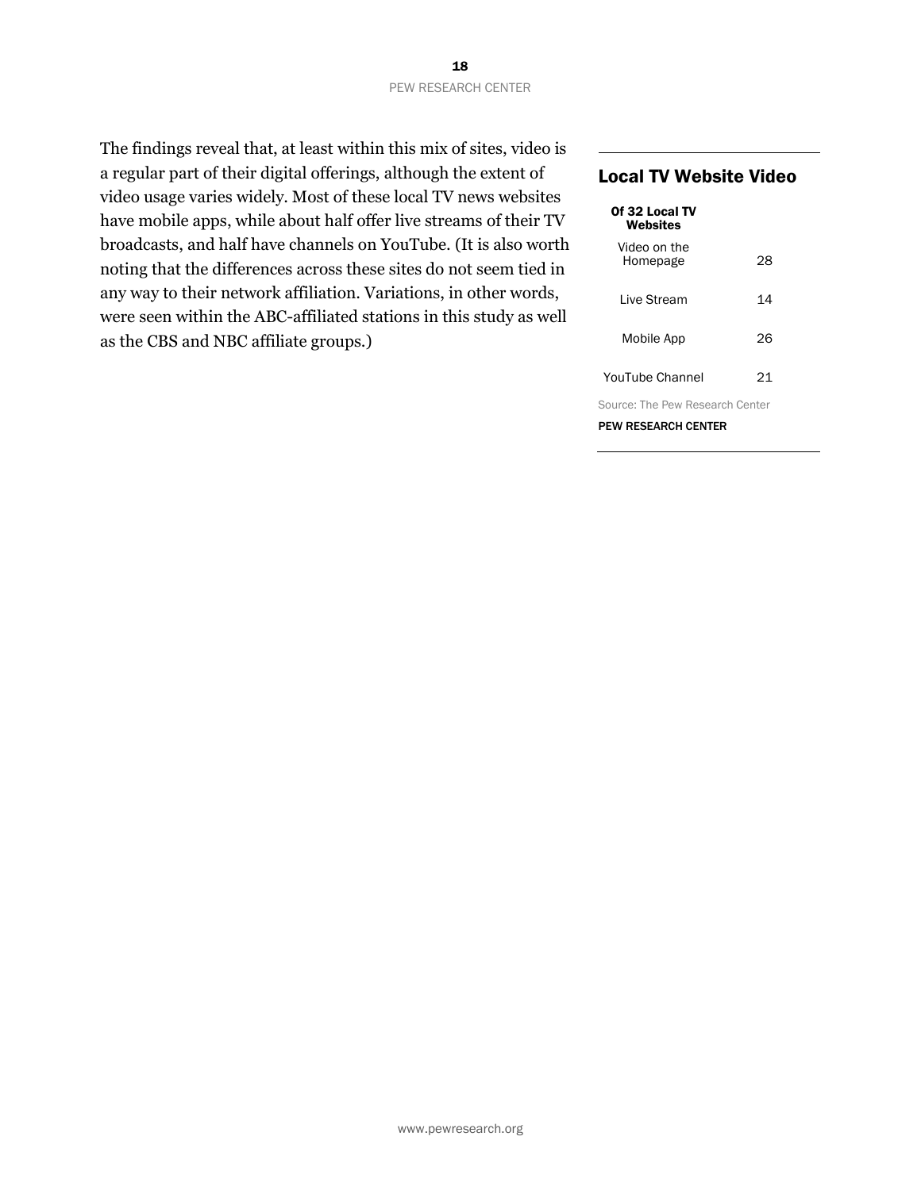The findings reveal that, at least within this mix of sites, video is a regular part of their digital offerings, although the extent of video usage varies widely. Most of these local TV news websites have mobile apps, while about half offer live streams of their TV broadcasts, and half have channels on YouTube. (It is also worth noting that the differences across these sites do not seem tied in any way to their network affiliation. Variations, in other words, were seen within the ABC-affiliated stations in this study as well as the CBS and NBC affiliate groups.)

#### Local TV Website Video

| Of 32 Local TV<br>Websites      |    |  |
|---------------------------------|----|--|
| Video on the<br>Homepage        | 28 |  |
| I ive Stream                    | 14 |  |
| Mobile App                      | 26 |  |
| YouTube Channel                 | 21 |  |
| Source: The Pew Research Center |    |  |
| <b>PEW RESEARCH CENTER</b>      |    |  |

www.pewresearch.org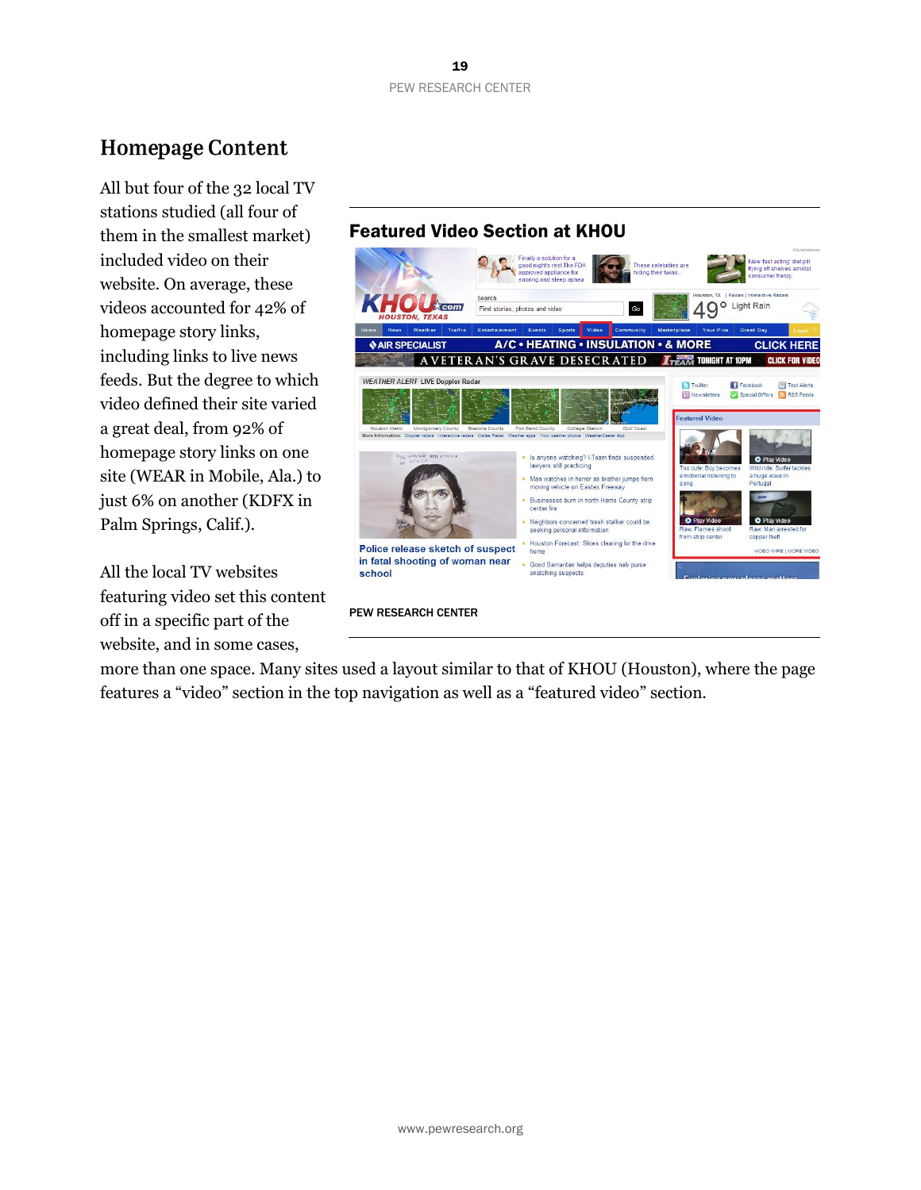# **Homepage Content**

All but four of the 32 local TV stations studied (all four of them in the smallest market) included video on their website. On average, these videos accounted for 42% of homepage story links, including links to live news feeds. But the degree to which video defined their site varied a great deal, from 92% of homepage story links on one site (WEAR in Mobile, Ala.) to just 6% on another (KDFX in Palm Springs, Calif.).

All the local TV websites featuring video set this content off in a specific part of the website, and in some cases,

## Featured Video Section at KHOU



PEW RESEARCH CENTER

more than one space. Many sites used a layout similar to that of KHOU (Houston), where the page features a "video" section in the top navigation as well as a "featured video" section.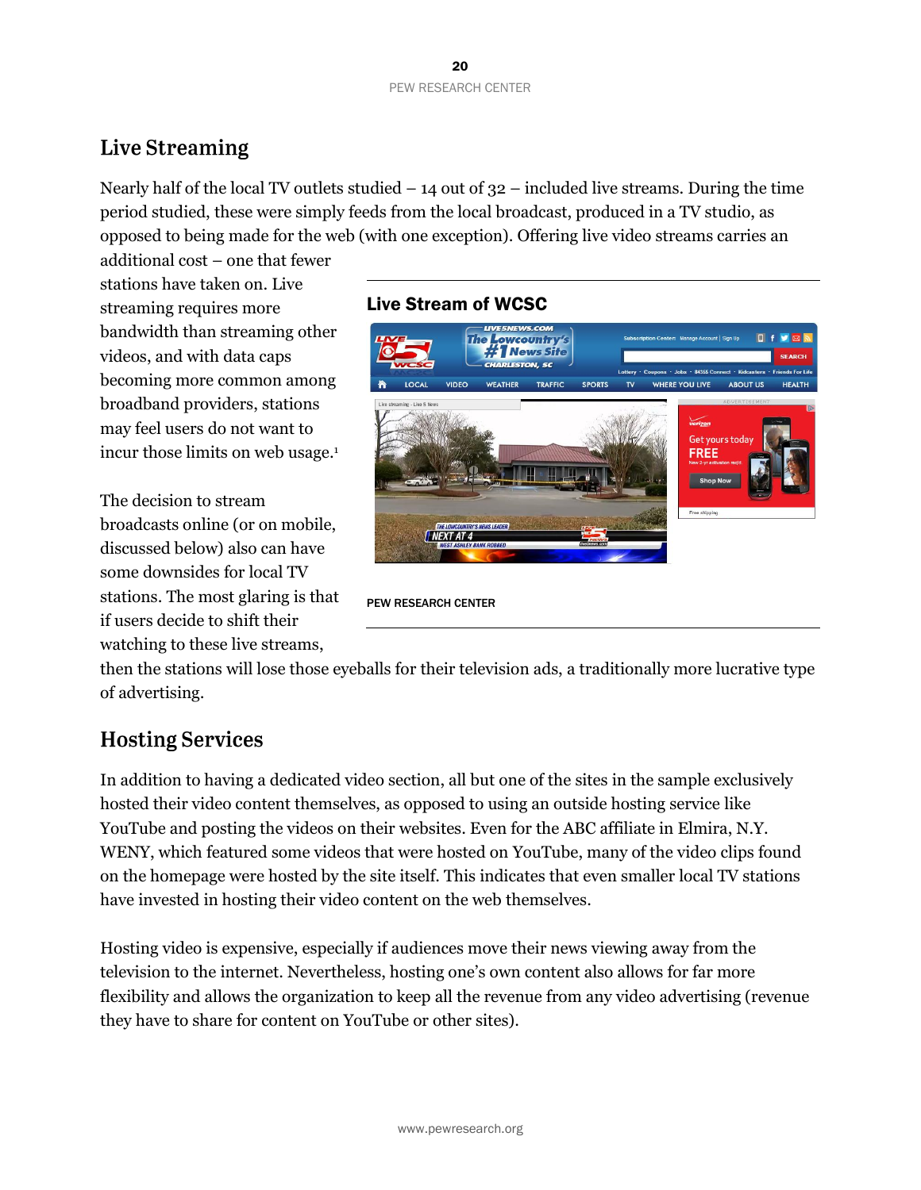# Live Streaming

Nearly half of the local TV outlets studied – 14 out of 32 – included live streams. During the time period studied, these were simply feeds from the local broadcast, produced in a TV studio, as opposed to being made for the web (with one exception). Offering live video streams carries an

additional cost – one that fewer stations have taken on. Live streaming requires more bandwidth than streaming other videos, and with data caps becoming more common among broadband providers, stations may feel users do not want to incur those limits on web usage. 1

The decision to stream broadcasts online (or on mobile, discussed below) also can have some downsides for local TV stations. The most glaring is that if users decide to shift their watching to these live streams,

## Live Stream of WCSC



PEW RESEARCH CENTER

then the stations will lose those eyeballs for their television ads, a traditionally more lucrative type of advertising.

## **Hosting Services**

In addition to having a dedicated video section, all but one of the sites in the sample exclusively hosted their video content themselves, as opposed to using an outside hosting service like YouTube and posting the videos on their websites. Even for the ABC affiliate in Elmira, N.Y. WENY, which featured some videos that were hosted on YouTube, many of the video clips found on the homepage were hosted by the site itself. This indicates that even smaller local TV stations have invested in hosting their video content on the web themselves.

Hosting video is expensive, especially if audiences move their news viewing away from the television to the internet. Nevertheless, hosting one's own content also allows for far more flexibility and allows the organization to keep all the revenue from any video advertising (revenue they have to share for content on YouTube or other sites).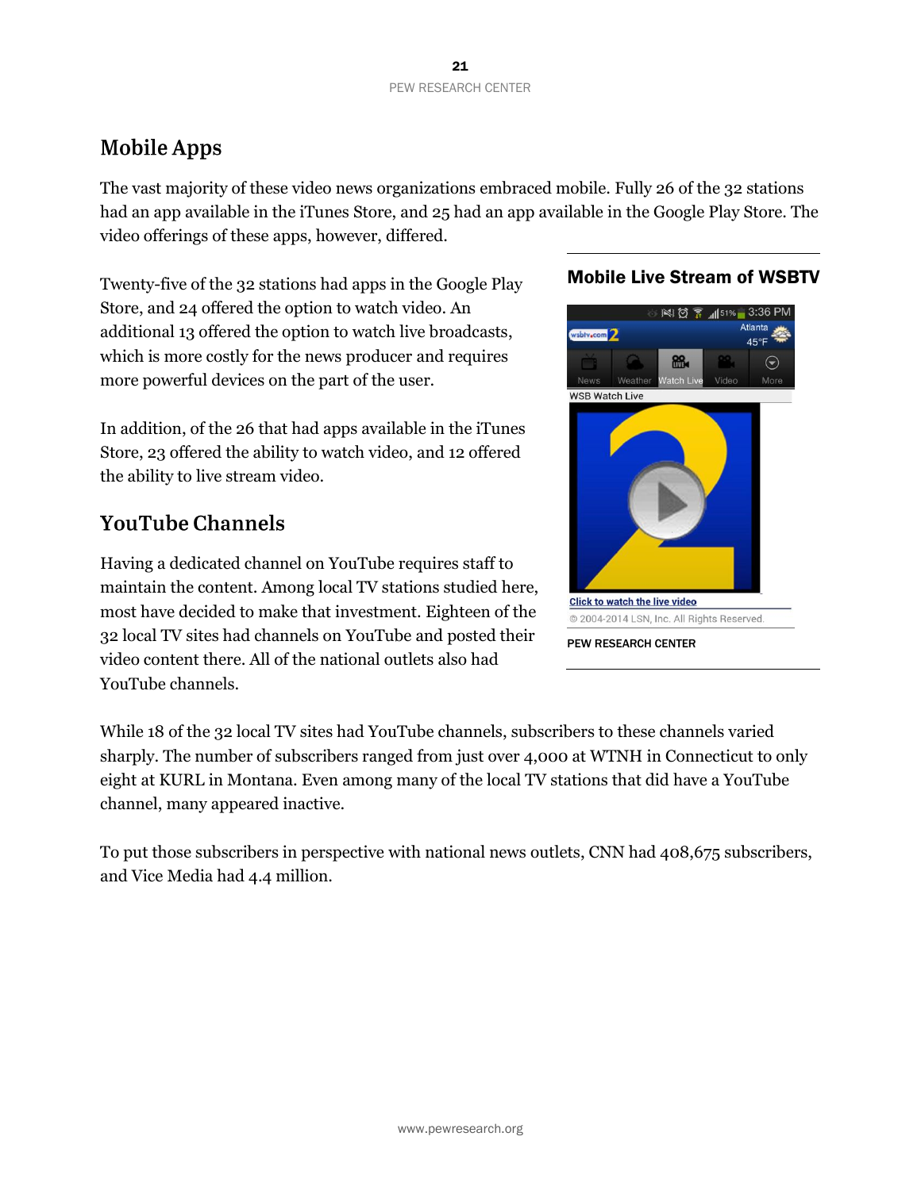# **Mobile Apps**

The vast majority of these video news organizations embraced mobile. Fully 26 of the 32 stations had an app available in the iTunes Store, and 25 had an app available in the Google Play Store. The video offerings of these apps, however, differed.

Twenty-five of the 32 stations had apps in the Google Play Store, and 24 offered the option to watch video. An additional 13 offered the option to watch live broadcasts, which is more costly for the news producer and requires more powerful devices on the part of the user.

In addition, of the 26 that had apps available in the iTunes Store, 23 offered the ability to watch video, and 12 offered the ability to live stream video.

# **YouTube Channels**

Having a dedicated channel on YouTube requires staff to maintain the content. Among local TV stations studied here, most have decided to make that investment. Eighteen of the 32 local TV sites had channels on YouTube and posted their video content there. All of the national outlets also had YouTube channels.

## Mobile Live Stream of WSBTV



While 18 of the 32 local TV sites had YouTube channels, subscribers to these channels varied sharply. The number of subscribers ranged from just over 4,000 at WTNH in Connecticut to only eight at KURL in Montana. Even among many of the local TV stations that did have a YouTube channel, many appeared inactive.

To put those subscribers in perspective with national news outlets, CNN had 408,675 subscribers, and Vice Media had 4.4 million.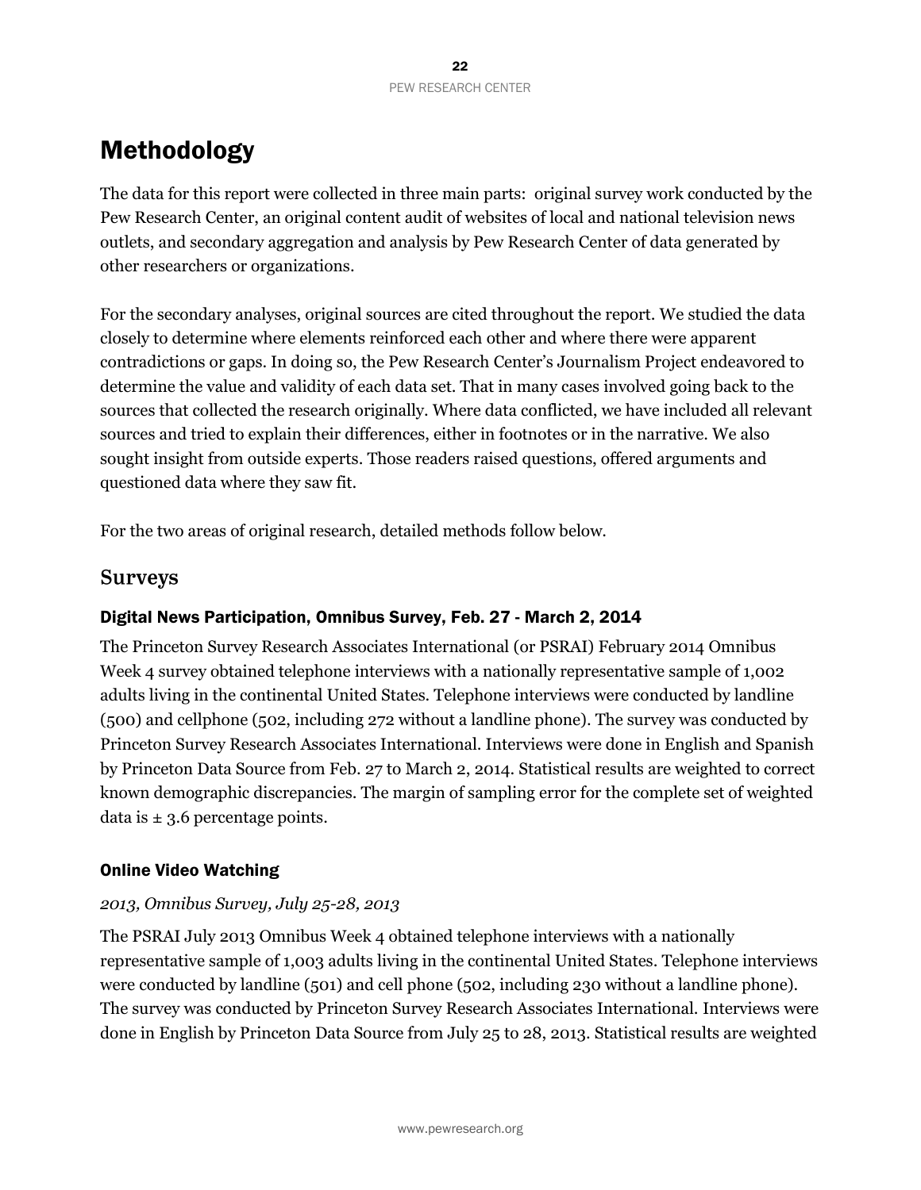# Methodology

The data for this report were collected in three main parts: original survey work conducted by the Pew Research Center, an original content audit of websites of local and national television news outlets, and secondary aggregation and analysis by Pew Research Center of data generated by other researchers or organizations.

For the secondary analyses, original sources are cited throughout the report. We studied the data closely to determine where elements reinforced each other and where there were apparent contradictions or gaps. In doing so, the Pew Research Center's Journalism Project endeavored to determine the value and validity of each data set. That in many cases involved going back to the sources that collected the research originally. Where data conflicted, we have included all relevant sources and tried to explain their differences, either in footnotes or in the narrative. We also sought insight from outside experts. Those readers raised questions, offered arguments and questioned data where they saw fit.

For the two areas of original research, detailed methods follow below.

## **Surveys**

#### Digital News Participation, Omnibus Survey, Feb. 27 - March 2, 2014

The Princeton Survey Research Associates International (or PSRAI) February 2014 Omnibus Week 4 survey obtained telephone interviews with a nationally representative sample of 1,002 adults living in the continental United States. Telephone interviews were conducted by landline (500) and cellphone (502, including 272 without a landline phone). The survey was conducted by Princeton Survey Research Associates International. Interviews were done in English and Spanish by Princeton Data Source from Feb. 27 to March 2, 2014. Statistical results are weighted to correct known demographic discrepancies. The margin of sampling error for the complete set of weighted data is  $\pm$  3.6 percentage points.

#### Online Video Watching

#### *2013, Omnibus Survey, July 25-28, 2013*

The PSRAI July 2013 Omnibus Week 4 obtained telephone interviews with a nationally representative sample of 1,003 adults living in the continental United States. Telephone interviews were conducted by landline (501) and cell phone (502, including 230 without a landline phone). The survey was conducted by Princeton Survey Research Associates International. Interviews were done in English by Princeton Data Source from July 25 to 28, 2013. Statistical results are weighted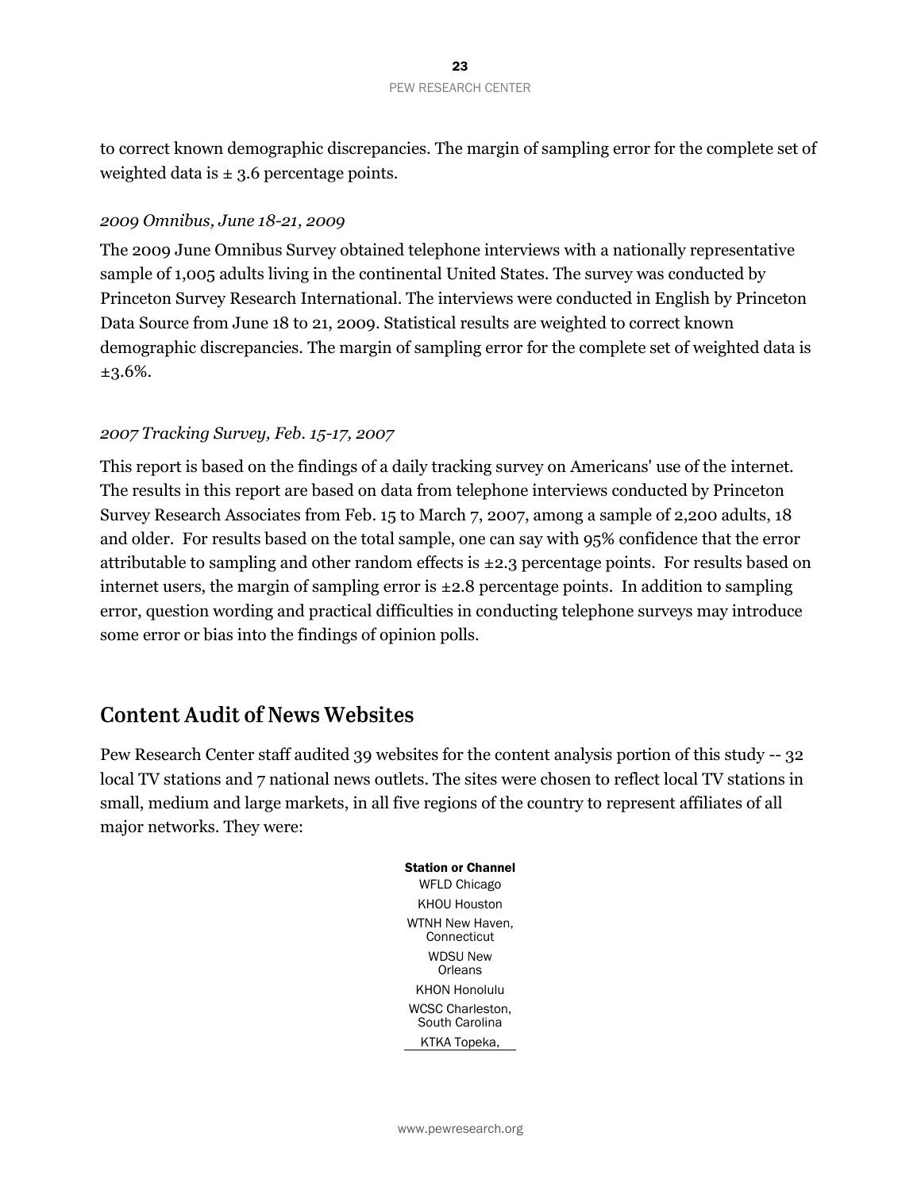to correct known demographic discrepancies. The margin of sampling error for the complete set of weighted data is  $\pm$  3.6 percentage points.

#### *2009 Omnibus, June 18-21, 2009*

The 2009 June Omnibus Survey obtained telephone interviews with a nationally representative sample of 1,005 adults living in the continental United States. The survey was conducted by Princeton Survey Research International. The interviews were conducted in English by Princeton Data Source from June 18 to 21, 2009. Statistical results are weighted to correct known demographic discrepancies. The margin of sampling error for the complete set of weighted data is ±3.6%.

#### *2007 Tracking Survey, Feb. 15-17, 2007*

This report is based on the findings of a daily tracking survey on Americans' use of the internet. The results in this report are based on data from telephone interviews conducted by Princeton Survey Research Associates from Feb. 15 to March 7, 2007, among a sample of 2,200 adults, 18 and older. For results based on the total sample, one can say with 95% confidence that the error attributable to sampling and other random effects is  $\pm 2.3$  percentage points. For results based on internet users, the margin of sampling error is  $\pm 2.8$  percentage points. In addition to sampling error, question wording and practical difficulties in conducting telephone surveys may introduce some error or bias into the findings of opinion polls.

## **Content Audit of News Websites**

Pew Research Center staff audited 39 websites for the content analysis portion of this study -- 32 local TV stations and 7 national news outlets. The sites were chosen to reflect local TV stations in small, medium and large markets, in all five regions of the country to represent affiliates of all major networks. They were:

> Station or Channel WFLD Chicago KHOU Houston WTNH New Haven, **Connecticut** WDSU New **Orleans** KHON Honolulu WCSC Charleston, South Carolina KTKA Topeka,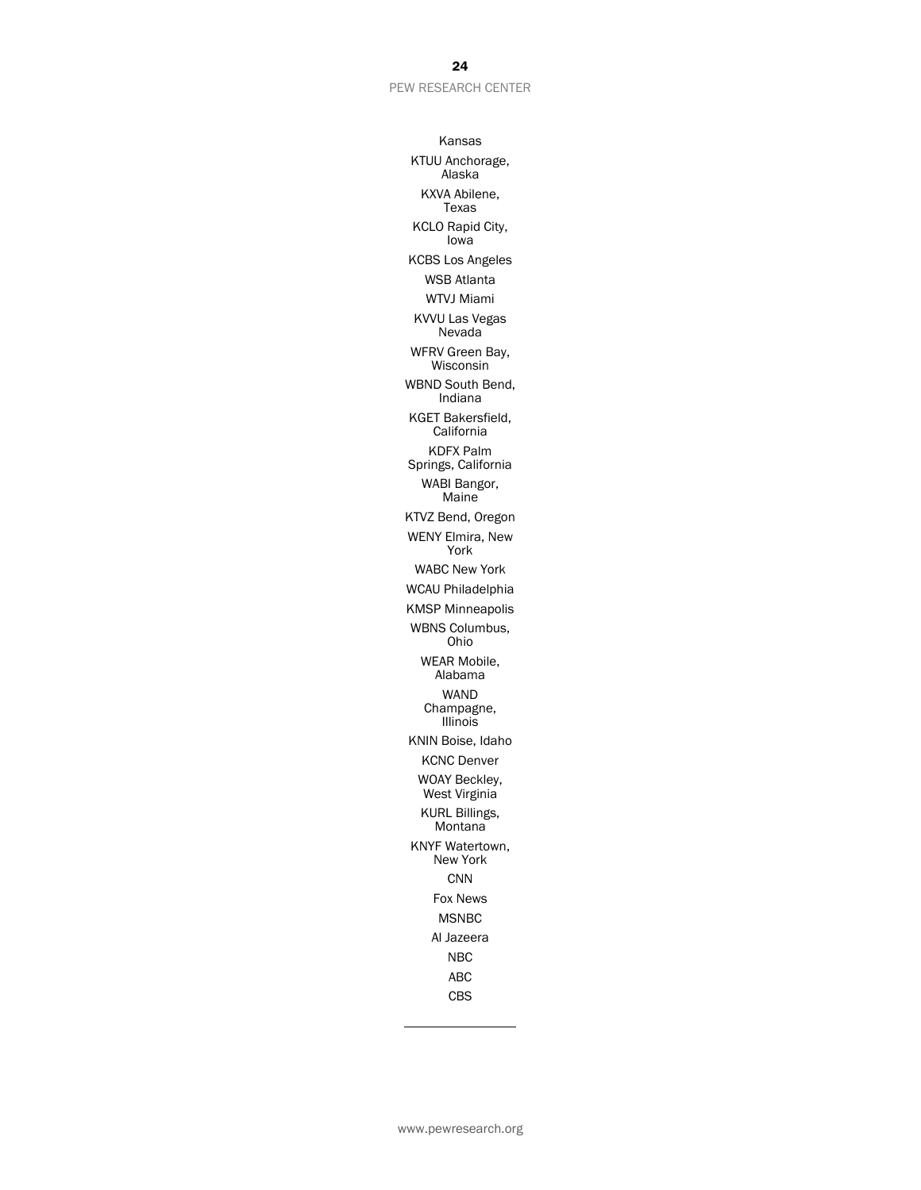#### PEW RESEARCH CENTER

Kansas KTUU Anchorage, Alaska KXVA Abilene, Texas KCLO Rapid City, Iowa KCBS Los Angeles WSB Atlanta WTVJ Miami KVVU Las Vegas Nevada WFRV Green Bay, Wisconsin WBND South Bend, Indiana KGET Bakersfield, **California** KDFX Palm Springs, California WABI Bangor, Maine KTVZ Bend, Oregon WENY Elmira, New York WABC New York WCAU Philadelphia KMSP Minneapolis WBNS Columbus, Ohio WEAR Mobile, Alabama WAND Champagne, Illinois KNIN Boise, Idaho KCNC Denver WOAY Beckley, West Virginia KURL Billings, **Montana** KNYF Watertown, New York **CNN** Fox News MSNBC Al Jazeera NBC ABC CBS

#### 24